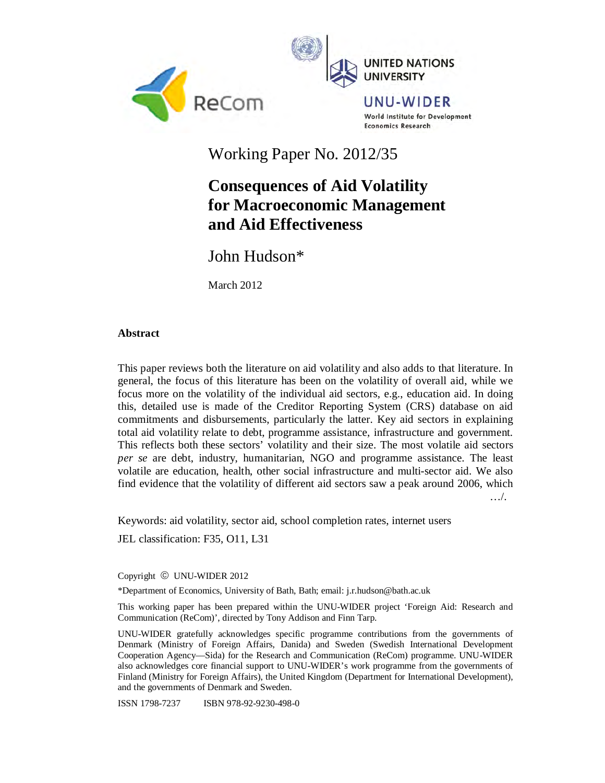



UNU-WIDER **World Institute for Development Economics Research** 

Working Paper No. 2012/35

# **Consequences of Aid Volatility for Macroeconomic Management and Aid Effectiveness**

John Hudson\*

March 2012

# **Abstract**

This paper reviews both the literature on aid volatility and also adds to that literature. In general, the focus of this literature has been on the volatility of overall aid, while we focus more on the volatility of the individual aid sectors, e.g., education aid. In doing this, detailed use is made of the Creditor Reporting System (CRS) database on aid commitments and disbursements, particularly the latter. Key aid sectors in explaining total aid volatility relate to debt, programme assistance, infrastructure and government. This reflects both these sectors' volatility and their size. The most volatile aid sectors *per se* are debt, industry, humanitarian, NGO and programme assistance. The least volatile are education, health, other social infrastructure and multi-sector aid. We also find evidence that the volatility of different aid sectors saw a peak around 2006, which …/.

Keywords: aid volatility, sector aid, school completion rates, internet users

JEL classification: F35, O11, L31

Copyright © UNU-WIDER 2012

\*Department of Economics, University of Bath, Bath; email: j.r.hudson@bath.ac.uk

This working paper has been prepared within the UNU-WIDER project 'Foreign Aid: Research and Communication (ReCom)', directed by Tony Addison and Finn Tarp.

UNU-WIDER gratefully acknowledges specific programme contributions from the governments of Denmark (Ministry of Foreign Affairs, Danida) and Sweden (Swedish International Development Cooperation Agency—Sida) for the Research and Communication (ReCom) programme. UNU-WIDER also acknowledges core financial support to UNU-WIDER's work programme from the governments of Finland (Ministry for Foreign Affairs), the United Kingdom (Department for International Development), and the governments of Denmark and Sweden.

ISSN 1798-7237 ISBN 978-92-9230-498-0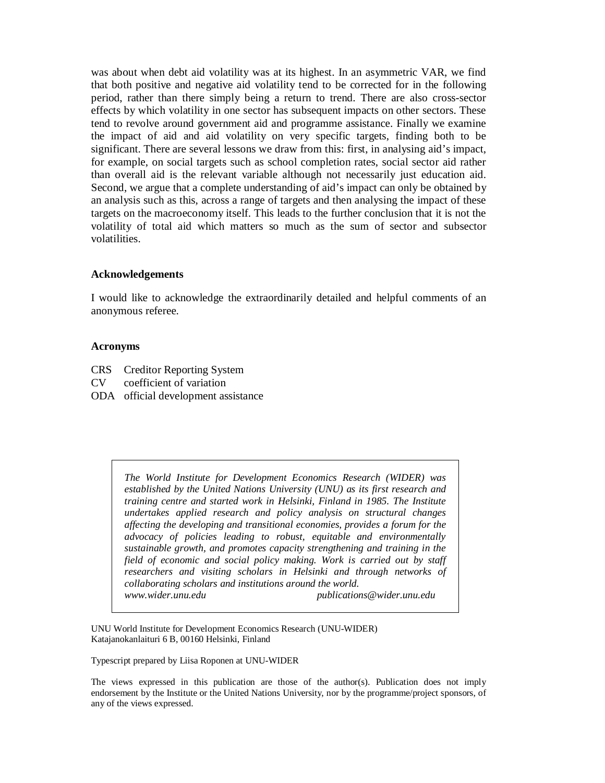was about when debt aid volatility was at its highest. In an asymmetric VAR, we find that both positive and negative aid volatility tend to be corrected for in the following period, rather than there simply being a return to trend. There are also cross-sector effects by which volatility in one sector has subsequent impacts on other sectors. These tend to revolve around government aid and programme assistance. Finally we examine the impact of aid and aid volatility on very specific targets, finding both to be significant. There are several lessons we draw from this: first, in analysing aid's impact, for example, on social targets such as school completion rates, social sector aid rather than overall aid is the relevant variable although not necessarily just education aid. Second, we argue that a complete understanding of aid's impact can only be obtained by an analysis such as this, across a range of targets and then analysing the impact of these targets on the macroeconomy itself. This leads to the further conclusion that it is not the volatility of total aid which matters so much as the sum of sector and subsector volatilities.

#### **Acknowledgements**

I would like to acknowledge the extraordinarily detailed and helpful comments of an anonymous referee.

#### **Acronyms**

- CRS Creditor Reporting System
- CV coefficient of variation
- ODA official development assistance

*The World Institute for Development Economics Research (WIDER) was established by the United Nations University (UNU) as its first research and training centre and started work in Helsinki, Finland in 1985. The Institute undertakes applied research and policy analysis on structural changes affecting the developing and transitional economies, provides a forum for the advocacy of policies leading to robust, equitable and environmentally sustainable growth, and promotes capacity strengthening and training in the field of economic and social policy making. Work is carried out by staff researchers and visiting scholars in Helsinki and through networks of collaborating scholars and institutions around the world. www.wider.unu.edu publications@wider.unu.edu* 

UNU World Institute for Development Economics Research (UNU-WIDER) Katajanokanlaituri 6 B, 00160 Helsinki, Finland

Typescript prepared by Liisa Roponen at UNU-WIDER

The views expressed in this publication are those of the author(s). Publication does not imply endorsement by the Institute or the United Nations University, nor by the programme/project sponsors, of any of the views expressed.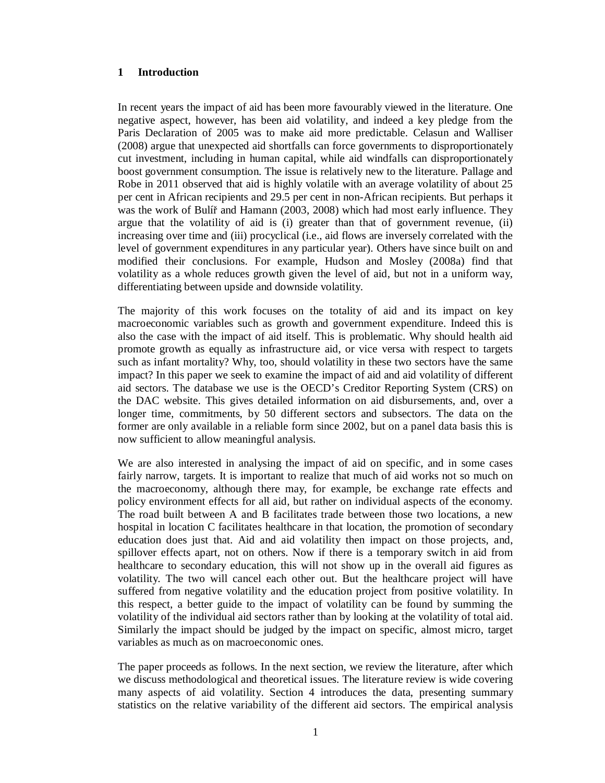# **1 Introduction**

In recent years the impact of aid has been more favourably viewed in the literature. One negative aspect, however, has been aid volatility, and indeed a key pledge from the Paris Declaration of 2005 was to make aid more predictable. Celasun and Walliser (2008) argue that unexpected aid shortfalls can force governments to disproportionately cut investment, including in human capital, while aid windfalls can disproportionately boost government consumption. The issue is relatively new to the literature. Pallage and Robe in 2011 observed that aid is highly volatile with an average volatility of about 25 per cent in African recipients and 29.5 per cent in non-African recipients. But perhaps it was the work of Bulíř and Hamann (2003, 2008) which had most early influence. They argue that the volatility of aid is (i) greater than that of government revenue, (ii) increasing over time and (iii) procyclical (i.e., aid flows are inversely correlated with the level of government expenditures in any particular year). Others have since built on and modified their conclusions. For example, Hudson and Mosley (2008a) find that volatility as a whole reduces growth given the level of aid, but not in a uniform way, differentiating between upside and downside volatility.

The majority of this work focuses on the totality of aid and its impact on key macroeconomic variables such as growth and government expenditure. Indeed this is also the case with the impact of aid itself. This is problematic. Why should health aid promote growth as equally as infrastructure aid, or vice versa with respect to targets such as infant mortality? Why, too, should volatility in these two sectors have the same impact? In this paper we seek to examine the impact of aid and aid volatility of different aid sectors. The database we use is the OECD's Creditor Reporting System (CRS) on the DAC website. This gives detailed information on aid disbursements, and, over a longer time, commitments, by 50 different sectors and subsectors. The data on the former are only available in a reliable form since 2002, but on a panel data basis this is now sufficient to allow meaningful analysis.

We are also interested in analysing the impact of aid on specific, and in some cases fairly narrow, targets. It is important to realize that much of aid works not so much on the macroeconomy, although there may, for example, be exchange rate effects and policy environment effects for all aid, but rather on individual aspects of the economy. The road built between A and B facilitates trade between those two locations, a new hospital in location C facilitates healthcare in that location, the promotion of secondary education does just that. Aid and aid volatility then impact on those projects, and, spillover effects apart, not on others. Now if there is a temporary switch in aid from healthcare to secondary education, this will not show up in the overall aid figures as volatility. The two will cancel each other out. But the healthcare project will have suffered from negative volatility and the education project from positive volatility. In this respect, a better guide to the impact of volatility can be found by summing the volatility of the individual aid sectors rather than by looking at the volatility of total aid. Similarly the impact should be judged by the impact on specific, almost micro, target variables as much as on macroeconomic ones.

The paper proceeds as follows. In the next section, we review the literature, after which we discuss methodological and theoretical issues. The literature review is wide covering many aspects of aid volatility. Section 4 introduces the data, presenting summary statistics on the relative variability of the different aid sectors. The empirical analysis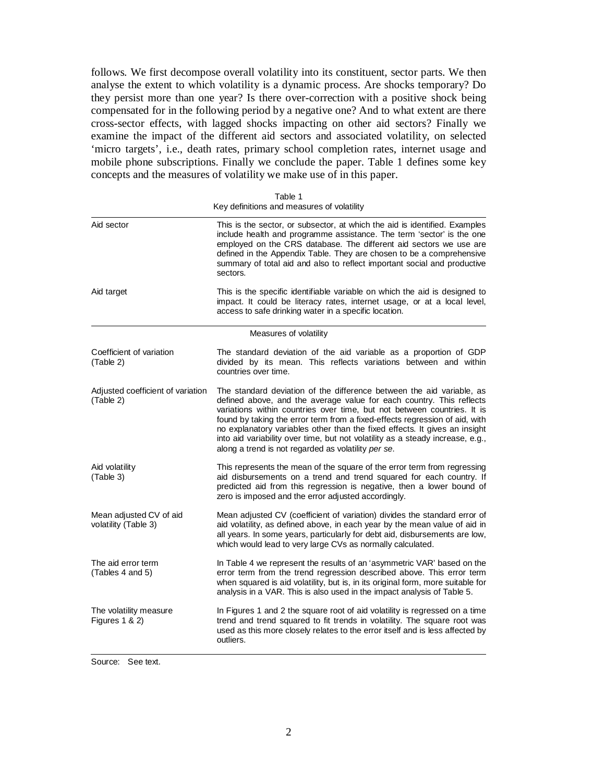follows. We first decompose overall volatility into its constituent, sector parts. We then analyse the extent to which volatility is a dynamic process. Are shocks temporary? Do they persist more than one year? Is there over-correction with a positive shock being compensated for in the following period by a negative one? And to what extent are there cross-sector effects, with lagged shocks impacting on other aid sectors? Finally we examine the impact of the different aid sectors and associated volatility, on selected 'micro targets', i.e., death rates, primary school completion rates, internet usage and mobile phone subscriptions. Finally we conclude the paper. Table 1 defines some key concepts and the measures of volatility we make use of in this paper.

| Aid target<br>access to safe drinking water in a specific location.<br>Measures of volatility<br>Coefficient of variation<br>(Table 2)<br>countries over time.<br>Adjusted coefficient of variation<br>(Table 2)<br>along a trend is not regarded as volatility per se.<br>Aid volatility<br>(Table 3)<br>zero is imposed and the error adjusted accordingly.<br>Mean adjusted CV of aid<br>volatility (Table 3)<br>which would lead to very large CVs as normally calculated.<br>The aid error term<br>(Tables 4 and 5)<br>analysis in a VAR. This is also used in the impact analysis of Table 5.<br>The volatility measure<br>Figures 1 & 2) | Aid sector | This is the sector, or subsector, at which the aid is identified. Examples<br>include health and programme assistance. The term 'sector' is the one<br>employed on the CRS database. The different aid sectors we use are<br>defined in the Appendix Table. They are chosen to be a comprehensive<br>summary of total aid and also to reflect important social and productive<br>sectors.                                                                               |
|-------------------------------------------------------------------------------------------------------------------------------------------------------------------------------------------------------------------------------------------------------------------------------------------------------------------------------------------------------------------------------------------------------------------------------------------------------------------------------------------------------------------------------------------------------------------------------------------------------------------------------------------------|------------|-------------------------------------------------------------------------------------------------------------------------------------------------------------------------------------------------------------------------------------------------------------------------------------------------------------------------------------------------------------------------------------------------------------------------------------------------------------------------|
|                                                                                                                                                                                                                                                                                                                                                                                                                                                                                                                                                                                                                                                 |            | This is the specific identifiable variable on which the aid is designed to<br>impact. It could be literacy rates, internet usage, or at a local level,                                                                                                                                                                                                                                                                                                                  |
|                                                                                                                                                                                                                                                                                                                                                                                                                                                                                                                                                                                                                                                 |            |                                                                                                                                                                                                                                                                                                                                                                                                                                                                         |
|                                                                                                                                                                                                                                                                                                                                                                                                                                                                                                                                                                                                                                                 |            | The standard deviation of the aid variable as a proportion of GDP<br>divided by its mean. This reflects variations between and within                                                                                                                                                                                                                                                                                                                                   |
|                                                                                                                                                                                                                                                                                                                                                                                                                                                                                                                                                                                                                                                 |            | The standard deviation of the difference between the aid variable, as<br>defined above, and the average value for each country. This reflects<br>variations within countries over time, but not between countries. It is<br>found by taking the error term from a fixed-effects regression of aid, with<br>no explanatory variables other than the fixed effects. It gives an insight<br>into aid variability over time, but not volatility as a steady increase, e.g., |
|                                                                                                                                                                                                                                                                                                                                                                                                                                                                                                                                                                                                                                                 |            | This represents the mean of the square of the error term from regressing<br>aid disbursements on a trend and trend squared for each country. If<br>predicted aid from this regression is negative, then a lower bound of                                                                                                                                                                                                                                                |
|                                                                                                                                                                                                                                                                                                                                                                                                                                                                                                                                                                                                                                                 |            | Mean adjusted CV (coefficient of variation) divides the standard error of<br>aid volatility, as defined above, in each year by the mean value of aid in<br>all years. In some years, particularly for debt aid, disbursements are low,                                                                                                                                                                                                                                  |
|                                                                                                                                                                                                                                                                                                                                                                                                                                                                                                                                                                                                                                                 |            | In Table 4 we represent the results of an 'asymmetric VAR' based on the<br>error term from the trend regression described above. This error term<br>when squared is aid volatility, but is, in its original form, more suitable for                                                                                                                                                                                                                                     |
|                                                                                                                                                                                                                                                                                                                                                                                                                                                                                                                                                                                                                                                 |            | In Figures 1 and 2 the square root of aid volatility is regressed on a time<br>trend and trend squared to fit trends in volatility. The square root was<br>used as this more closely relates to the error itself and is less affected by<br>outliers.                                                                                                                                                                                                                   |

Table 1 Key definitions and measures of volatility

Source: See text.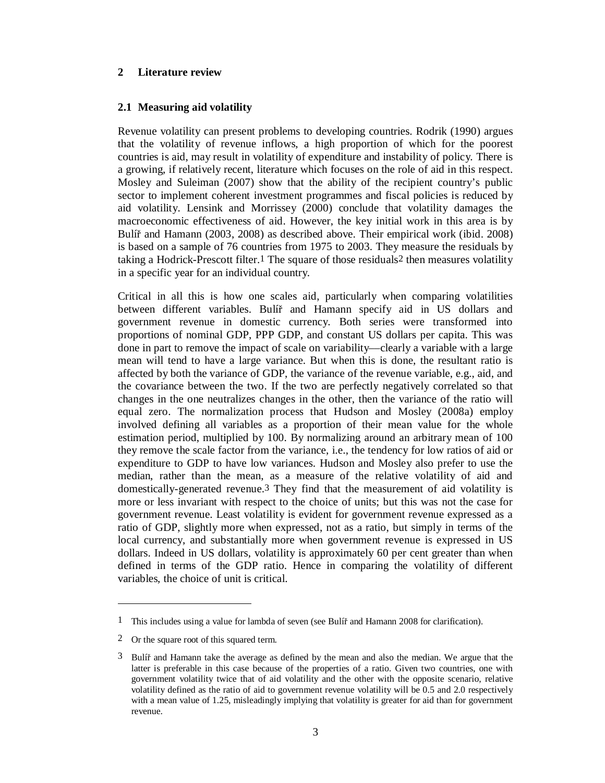# **2 Literature review**

# **2.1 Measuring aid volatility**

Revenue volatility can present problems to developing countries. Rodrik (1990) argues that the volatility of revenue inflows, a high proportion of which for the poorest countries is aid, may result in volatility of expenditure and instability of policy. There is a growing, if relatively recent, literature which focuses on the role of aid in this respect. Mosley and Suleiman (2007) show that the ability of the recipient country's public sector to implement coherent investment programmes and fiscal policies is reduced by aid volatility. Lensink and Morrissey (2000) conclude that volatility damages the macroeconomic effectiveness of aid. However, the key initial work in this area is by Bulíř and Hamann (2003, 2008) as described above. Their empirical work (ibid. 2008) is based on a sample of 76 countries from 1975 to 2003. They measure the residuals by taking a Hodrick-Prescott filter.1 The square of those residuals2 then measures volatility in a specific year for an individual country.

Critical in all this is how one scales aid, particularly when comparing volatilities between different variables. Bulíř and Hamann specify aid in US dollars and government revenue in domestic currency. Both series were transformed into proportions of nominal GDP, PPP GDP, and constant US dollars per capita. This was done in part to remove the impact of scale on variability––clearly a variable with a large mean will tend to have a large variance. But when this is done, the resultant ratio is affected by both the variance of GDP, the variance of the revenue variable, e.g., aid, and the covariance between the two. If the two are perfectly negatively correlated so that changes in the one neutralizes changes in the other, then the variance of the ratio will equal zero. The normalization process that Hudson and Mosley (2008a) employ involved defining all variables as a proportion of their mean value for the whole estimation period, multiplied by 100. By normalizing around an arbitrary mean of 100 they remove the scale factor from the variance, i.e., the tendency for low ratios of aid or expenditure to GDP to have low variances. Hudson and Mosley also prefer to use the median, rather than the mean, as a measure of the relative volatility of aid and domestically-generated revenue.3 They find that the measurement of aid volatility is more or less invariant with respect to the choice of units; but this was not the case for government revenue. Least volatility is evident for government revenue expressed as a ratio of GDP, slightly more when expressed, not as a ratio, but simply in terms of the local currency, and substantially more when government revenue is expressed in US dollars. Indeed in US dollars, volatility is approximately 60 per cent greater than when defined in terms of the GDP ratio. Hence in comparing the volatility of different variables, the choice of unit is critical.

 $\overline{a}$ 

<sup>1</sup> This includes using a value for lambda of seven (see Bulíř and Hamann 2008 for clarification).

<sup>2</sup> Or the square root of this squared term.

<sup>3</sup> Bulíř and Hamann take the average as defined by the mean and also the median. We argue that the latter is preferable in this case because of the properties of a ratio. Given two countries, one with government volatility twice that of aid volatility and the other with the opposite scenario, relative volatility defined as the ratio of aid to government revenue volatility will be 0.5 and 2.0 respectively with a mean value of 1.25, misleadingly implying that volatility is greater for aid than for government revenue.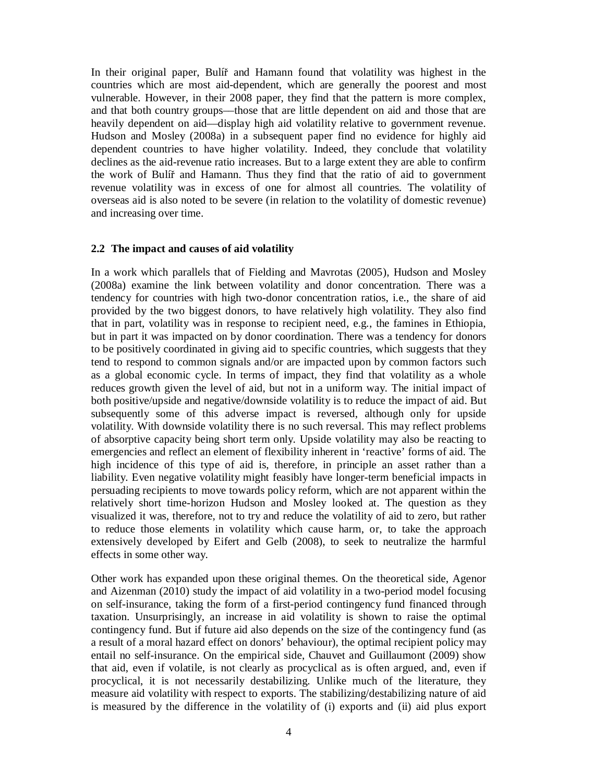In their original paper, Bulíř and Hamann found that volatility was highest in the countries which are most aid-dependent, which are generally the poorest and most vulnerable. However, in their 2008 paper, they find that the pattern is more complex, and that both country groups––those that are little dependent on aid and those that are heavily dependent on aid—display high aid volatility relative to government revenue. Hudson and Mosley (2008a) in a subsequent paper find no evidence for highly aid dependent countries to have higher volatility. Indeed, they conclude that volatility declines as the aid-revenue ratio increases. But to a large extent they are able to confirm the work of Bulíř and Hamann. Thus they find that the ratio of aid to government revenue volatility was in excess of one for almost all countries. The volatility of overseas aid is also noted to be severe (in relation to the volatility of domestic revenue) and increasing over time.

#### **2.2 The impact and causes of aid volatility**

In a work which parallels that of Fielding and Mavrotas (2005), Hudson and Mosley (2008a) examine the link between volatility and donor concentration. There was a tendency for countries with high two-donor concentration ratios, i.e., the share of aid provided by the two biggest donors, to have relatively high volatility. They also find that in part, volatility was in response to recipient need, e.g., the famines in Ethiopia, but in part it was impacted on by donor coordination. There was a tendency for donors to be positively coordinated in giving aid to specific countries, which suggests that they tend to respond to common signals and/or are impacted upon by common factors such as a global economic cycle. In terms of impact, they find that volatility as a whole reduces growth given the level of aid, but not in a uniform way. The initial impact of both positive/upside and negative/downside volatility is to reduce the impact of aid. But subsequently some of this adverse impact is reversed, although only for upside volatility. With downside volatility there is no such reversal. This may reflect problems of absorptive capacity being short term only. Upside volatility may also be reacting to emergencies and reflect an element of flexibility inherent in 'reactive' forms of aid. The high incidence of this type of aid is, therefore, in principle an asset rather than a liability. Even negative volatility might feasibly have longer-term beneficial impacts in persuading recipients to move towards policy reform, which are not apparent within the relatively short time-horizon Hudson and Mosley looked at. The question as they visualized it was, therefore, not to try and reduce the volatility of aid to zero, but rather to reduce those elements in volatility which cause harm, or, to take the approach extensively developed by Eifert and Gelb (2008), to seek to neutralize the harmful effects in some other way.

Other work has expanded upon these original themes. On the theoretical side, Agenor and Aizenman (2010) study the impact of aid volatility in a two-period model focusing on self-insurance, taking the form of a first-period contingency fund financed through taxation. Unsurprisingly, an increase in aid volatility is shown to raise the optimal contingency fund. But if future aid also depends on the size of the contingency fund (as a result of a moral hazard effect on donors' behaviour), the optimal recipient policy may entail no self-insurance. On the empirical side, Chauvet and Guillaumont (2009) show that aid, even if volatile, is not clearly as procyclical as is often argued, and, even if procyclical, it is not necessarily destabilizing. Unlike much of the literature, they measure aid volatility with respect to exports. The stabilizing/destabilizing nature of aid is measured by the difference in the volatility of (i) exports and (ii) aid plus export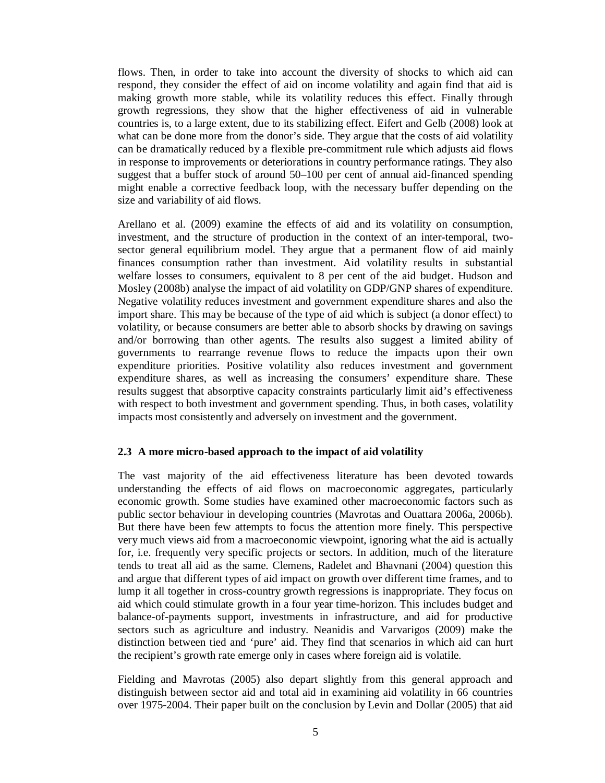flows. Then, in order to take into account the diversity of shocks to which aid can respond, they consider the effect of aid on income volatility and again find that aid is making growth more stable, while its volatility reduces this effect. Finally through growth regressions, they show that the higher effectiveness of aid in vulnerable countries is, to a large extent, due to its stabilizing effect. Eifert and Gelb (2008) look at what can be done more from the donor's side. They argue that the costs of aid volatility can be dramatically reduced by a flexible pre-commitment rule which adjusts aid flows in response to improvements or deteriorations in country performance ratings. They also suggest that a buffer stock of around 50–100 per cent of annual aid-financed spending might enable a corrective feedback loop, with the necessary buffer depending on the size and variability of aid flows.

Arellano et al. (2009) examine the effects of aid and its volatility on consumption, investment, and the structure of production in the context of an inter-temporal, twosector general equilibrium model. They argue that a permanent flow of aid mainly finances consumption rather than investment. Aid volatility results in substantial welfare losses to consumers, equivalent to 8 per cent of the aid budget. Hudson and Mosley (2008b) analyse the impact of aid volatility on GDP/GNP shares of expenditure. Negative volatility reduces investment and government expenditure shares and also the import share. This may be because of the type of aid which is subject (a donor effect) to volatility, or because consumers are better able to absorb shocks by drawing on savings and/or borrowing than other agents. The results also suggest a limited ability of governments to rearrange revenue flows to reduce the impacts upon their own expenditure priorities. Positive volatility also reduces investment and government expenditure shares, as well as increasing the consumers' expenditure share. These results suggest that absorptive capacity constraints particularly limit aid's effectiveness with respect to both investment and government spending. Thus, in both cases, volatility impacts most consistently and adversely on investment and the government.

#### **2.3 A more micro-based approach to the impact of aid volatility**

The vast majority of the aid effectiveness literature has been devoted towards understanding the effects of aid flows on macroeconomic aggregates, particularly economic growth. Some studies have examined other macroeconomic factors such as public sector behaviour in developing countries (Mavrotas and Ouattara 2006a, 2006b). But there have been few attempts to focus the attention more finely. This perspective very much views aid from a macroeconomic viewpoint, ignoring what the aid is actually for, i.e. frequently very specific projects or sectors. In addition, much of the literature tends to treat all aid as the same. Clemens, Radelet and Bhavnani (2004) question this and argue that different types of aid impact on growth over different time frames, and to lump it all together in cross-country growth regressions is inappropriate. They focus on aid which could stimulate growth in a four year time-horizon. This includes budget and balance-of-payments support, investments in infrastructure, and aid for productive sectors such as agriculture and industry. Neanidis and Varvarigos (2009) make the distinction between tied and 'pure' aid. They find that scenarios in which aid can hurt the recipient's growth rate emerge only in cases where foreign aid is volatile.

Fielding and Mavrotas (2005) also depart slightly from this general approach and distinguish between sector aid and total aid in examining aid volatility in 66 countries over 1975-2004. Their paper built on the conclusion by Levin and Dollar (2005) that aid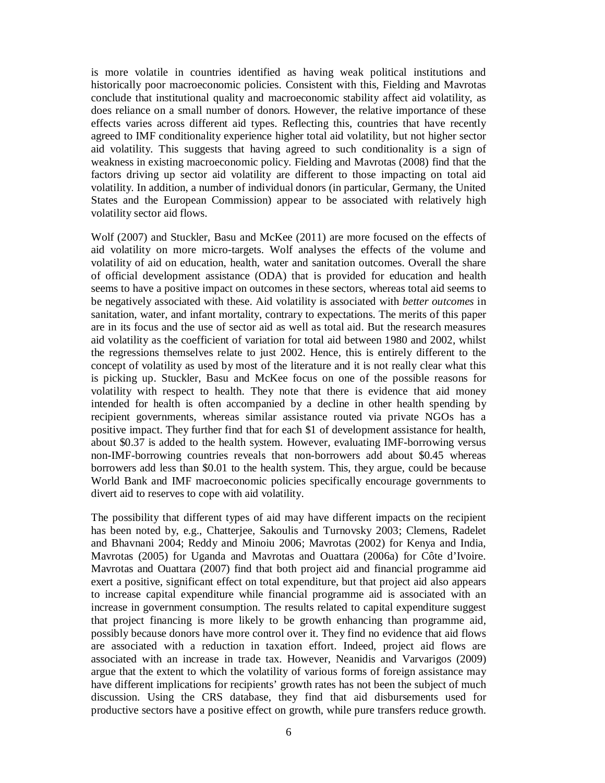is more volatile in countries identified as having weak political institutions and historically poor macroeconomic policies. Consistent with this, Fielding and Mavrotas conclude that institutional quality and macroeconomic stability affect aid volatility, as does reliance on a small number of donors. However, the relative importance of these effects varies across different aid types. Reflecting this, countries that have recently agreed to IMF conditionality experience higher total aid volatility, but not higher sector aid volatility. This suggests that having agreed to such conditionality is a sign of weakness in existing macroeconomic policy. Fielding and Mavrotas (2008) find that the factors driving up sector aid volatility are different to those impacting on total aid volatility. In addition, a number of individual donors (in particular, Germany, the United States and the European Commission) appear to be associated with relatively high volatility sector aid flows.

Wolf (2007) and Stuckler, Basu and McKee (2011) are more focused on the effects of aid volatility on more micro-targets. Wolf analyses the effects of the volume and volatility of aid on education, health, water and sanitation outcomes. Overall the share of official development assistance (ODA) that is provided for education and health seems to have a positive impact on outcomes in these sectors, whereas total aid seems to be negatively associated with these. Aid volatility is associated with *better outcomes* in sanitation, water, and infant mortality, contrary to expectations. The merits of this paper are in its focus and the use of sector aid as well as total aid. But the research measures aid volatility as the coefficient of variation for total aid between 1980 and 2002, whilst the regressions themselves relate to just 2002. Hence, this is entirely different to the concept of volatility as used by most of the literature and it is not really clear what this is picking up. Stuckler, Basu and McKee focus on one of the possible reasons for volatility with respect to health. They note that there is evidence that aid money intended for health is often accompanied by a decline in other health spending by recipient governments, whereas similar assistance routed via private NGOs has a positive impact. They further find that for each \$1 of development assistance for health, about \$0.37 is added to the health system. However, evaluating IMF-borrowing versus non-IMF-borrowing countries reveals that non-borrowers add about \$0.45 whereas borrowers add less than \$0.01 to the health system. This, they argue, could be because World Bank and IMF macroeconomic policies specifically encourage governments to divert aid to reserves to cope with aid volatility.

The possibility that different types of aid may have different impacts on the recipient has been noted by, e.g., Chatterjee, Sakoulis and Turnovsky 2003; Clemens, Radelet and Bhavnani 2004; Reddy and Minoiu 2006; Mavrotas (2002) for Kenya and India, Mavrotas (2005) for Uganda and Mavrotas and Ouattara (2006a) for Côte d'Ivoire. Mavrotas and Ouattara (2007) find that both project aid and financial programme aid exert a positive, significant effect on total expenditure, but that project aid also appears to increase capital expenditure while financial programme aid is associated with an increase in government consumption. The results related to capital expenditure suggest that project financing is more likely to be growth enhancing than programme aid, possibly because donors have more control over it. They find no evidence that aid flows are associated with a reduction in taxation effort. Indeed, project aid flows are associated with an increase in trade tax. However, Neanidis and Varvarigos (2009) argue that the extent to which the volatility of various forms of foreign assistance may have different implications for recipients' growth rates has not been the subject of much discussion. Using the CRS database, they find that aid disbursements used for productive sectors have a positive effect on growth, while pure transfers reduce growth.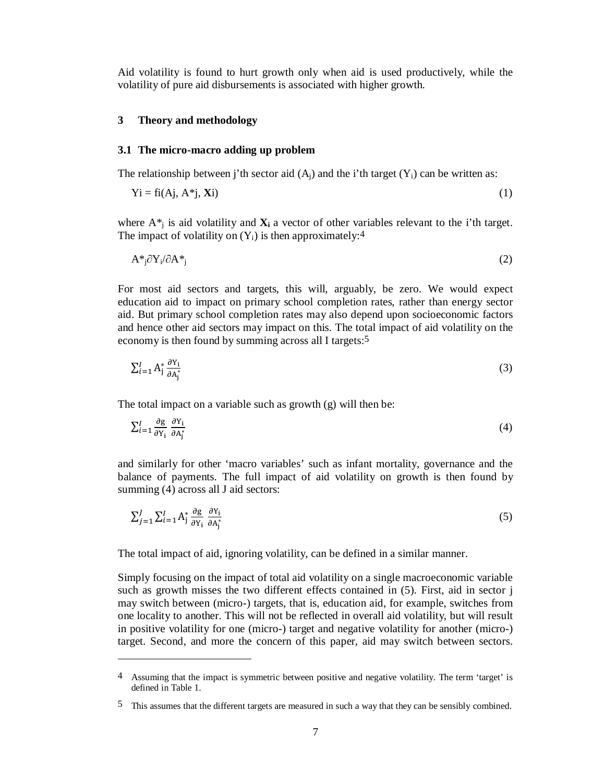Aid volatility is found to hurt growth only when aid is used productively, while the volatility of pure aid disbursements is associated with higher growth.

#### **3 Theory and methodology**

l

#### **3.1 The micro-macro adding up problem**

The relationship between j'th sector aid  $(A_i)$  and the i'th target  $(Y_i)$  can be written as:

$$
Yi = fi(Aj, A^*j, Xi)
$$
 (1)

where  $A^*$  is aid volatility and  $X_i$  a vector of other variables relevant to the i'th target. The impact of volatility on  $(Y_i)$  is then approximately:<sup>4</sup>

$$
A^*_{j} \partial Y_{i} / \partial A^*_{j} \tag{2}
$$

For most aid sectors and targets, this will, arguably, be zero. We would expect education aid to impact on primary school completion rates, rather than energy sector aid. But primary school completion rates may also depend upon socioeconomic factors and hence other aid sectors may impact on this. The total impact of aid volatility on the economy is then found by summing across all I targets:5

$$
\sum_{i=1}^{I} A_{j}^{*} \frac{\partial Y_{i}}{\partial A_{j}^{*}} \tag{3}
$$

The total impact on a variable such as growth (g) will then be:

$$
\sum_{i=1}^{I} \frac{\partial g}{\partial Y_i} \frac{\partial Y_i}{\partial A_j^*}
$$
 (4)

and similarly for other 'macro variables' such as infant mortality, governance and the balance of payments. The full impact of aid volatility on growth is then found by summing (4) across all J aid sectors:

$$
\sum_{j=1}^{J} \sum_{i=1}^{I} A_{j}^{*} \frac{\partial g}{\partial Y_{i}} \frac{\partial Y_{i}}{\partial A_{j}^{*}}
$$
 (5)

The total impact of aid, ignoring volatility, can be defined in a similar manner.

Simply focusing on the impact of total aid volatility on a single macroeconomic variable such as growth misses the two different effects contained in (5). First, aid in sector j may switch between (micro-) targets, that is, education aid, for example, switches from one locality to another. This will not be reflected in overall aid volatility, but will result in positive volatility for one (micro-) target and negative volatility for another (micro-) target. Second, and more the concern of this paper, aid may switch between sectors.

<sup>4</sup> Assuming that the impact is symmetric between positive and negative volatility. The term 'target' is defined in Table 1.

<sup>5</sup> This assumes that the different targets are measured in such a way that they can be sensibly combined.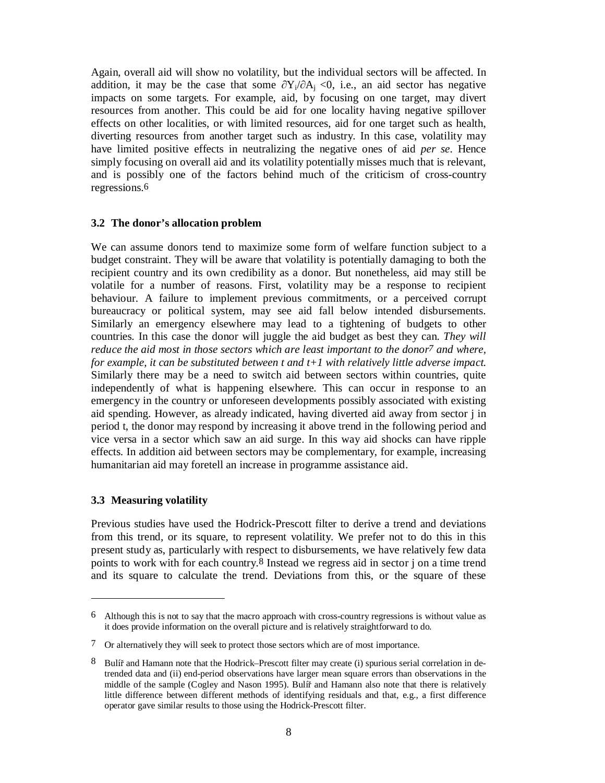Again, overall aid will show no volatility, but the individual sectors will be affected. In addition, it may be the case that some  $\frac{\partial Y_i}{\partial A_i}$  < 0, i.e., an aid sector has negative impacts on some targets. For example, aid, by focusing on one target, may divert resources from another. This could be aid for one locality having negative spillover effects on other localities, or with limited resources, aid for one target such as health, diverting resources from another target such as industry. In this case, volatility may have limited positive effects in neutralizing the negative ones of aid *per se*. Hence simply focusing on overall aid and its volatility potentially misses much that is relevant, and is possibly one of the factors behind much of the criticism of cross-country regressions.6

# **3.2 The donor's allocation problem**

We can assume donors tend to maximize some form of welfare function subject to a budget constraint. They will be aware that volatility is potentially damaging to both the recipient country and its own credibility as a donor. But nonetheless, aid may still be volatile for a number of reasons. First, volatility may be a response to recipient behaviour. A failure to implement previous commitments, or a perceived corrupt bureaucracy or political system, may see aid fall below intended disbursements. Similarly an emergency elsewhere may lead to a tightening of budgets to other countries. In this case the donor will juggle the aid budget as best they can. *They will reduce the aid most in those sectors which are least important to the donor7 and where, for example, it can be substituted between t and t+1 with relatively little adverse impact.* Similarly there may be a need to switch aid between sectors within countries, quite independently of what is happening elsewhere. This can occur in response to an emergency in the country or unforeseen developments possibly associated with existing aid spending. However, as already indicated, having diverted aid away from sector j in period t, the donor may respond by increasing it above trend in the following period and vice versa in a sector which saw an aid surge. In this way aid shocks can have ripple effects. In addition aid between sectors may be complementary, for example, increasing humanitarian aid may foretell an increase in programme assistance aid.

# **3.3 Measuring volatility**

-

Previous studies have used the Hodrick-Prescott filter to derive a trend and deviations from this trend, or its square, to represent volatility. We prefer not to do this in this present study as, particularly with respect to disbursements, we have relatively few data points to work with for each country.8 Instead we regress aid in sector j on a time trend and its square to calculate the trend. Deviations from this, or the square of these

<sup>6</sup> Although this is not to say that the macro approach with cross-country regressions is without value as it does provide information on the overall picture and is relatively straightforward to do.

<sup>7</sup> Or alternatively they will seek to protect those sectors which are of most importance.

<sup>8</sup> Bulíř and Hamann note that the Hodrick–Prescott filter may create (i) spurious serial correlation in detrended data and (ii) end-period observations have larger mean square errors than observations in the middle of the sample (Cogley and Nason 1995). Bulíř and Hamann also note that there is relatively little difference between different methods of identifying residuals and that, e.g., a first difference operator gave similar results to those using the Hodrick-Prescott filter.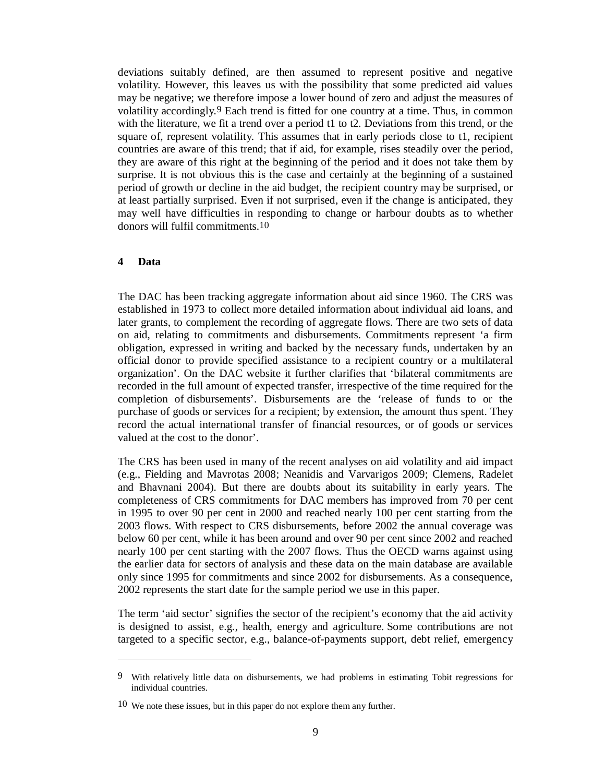deviations suitably defined, are then assumed to represent positive and negative volatility. However, this leaves us with the possibility that some predicted aid values may be negative; we therefore impose a lower bound of zero and adjust the measures of volatility accordingly.9 Each trend is fitted for one country at a time. Thus, in common with the literature, we fit a trend over a period t1 to t2. Deviations from this trend, or the square of, represent volatility. This assumes that in early periods close to t1, recipient countries are aware of this trend; that if aid, for example, rises steadily over the period, they are aware of this right at the beginning of the period and it does not take them by surprise. It is not obvious this is the case and certainly at the beginning of a sustained period of growth or decline in the aid budget, the recipient country may be surprised, or at least partially surprised. Even if not surprised, even if the change is anticipated, they may well have difficulties in responding to change or harbour doubts as to whether donors will fulfil commitments.10

#### **4 Data**

l

The DAC has been tracking aggregate information about aid since 1960. The CRS was established in 1973 to collect more detailed information about individual aid loans, and later grants, to complement the recording of aggregate flows. There are two sets of data on aid, relating to commitments and disbursements. Commitments represent 'a firm obligation, expressed in writing and backed by the necessary funds, undertaken by an official donor to provide specified assistance to a recipient country or a multilateral organization'. On the DAC website it further clarifies that 'bilateral commitments are recorded in the full amount of expected transfer, irrespective of the time required for the completion of disbursements'. Disbursements are the 'release of funds to or the purchase of goods or services for a recipient; by extension, the amount thus spent. They record the actual international transfer of financial resources, or of goods or services valued at the cost to the donor'.

The CRS has been used in many of the recent analyses on aid volatility and aid impact (e.g., Fielding and Mavrotas 2008; Neanidis and Varvarigos 2009; Clemens, Radelet and Bhavnani 2004). But there are doubts about its suitability in early years. The completeness of CRS commitments for DAC members has improved from 70 per cent in 1995 to over 90 per cent in 2000 and reached nearly 100 per cent starting from the 2003 flows. With respect to CRS disbursements, before 2002 the annual coverage was below 60 per cent, while it has been around and over 90 per cent since 2002 and reached nearly 100 per cent starting with the 2007 flows. Thus the OECD warns against using the earlier data for sectors of analysis and these data on the main database are available only since 1995 for commitments and since 2002 for disbursements. As a consequence, 2002 represents the start date for the sample period we use in this paper.

The term 'aid sector' signifies the sector of the recipient's economy that the aid activity is designed to assist, e.g., health, energy and agriculture. Some contributions are not targeted to a specific sector, e.g., balance-of-payments support, debt relief, emergency

<sup>9</sup> With relatively little data on disbursements, we had problems in estimating Tobit regressions for individual countries.

<sup>10</sup> We note these issues, but in this paper do not explore them any further.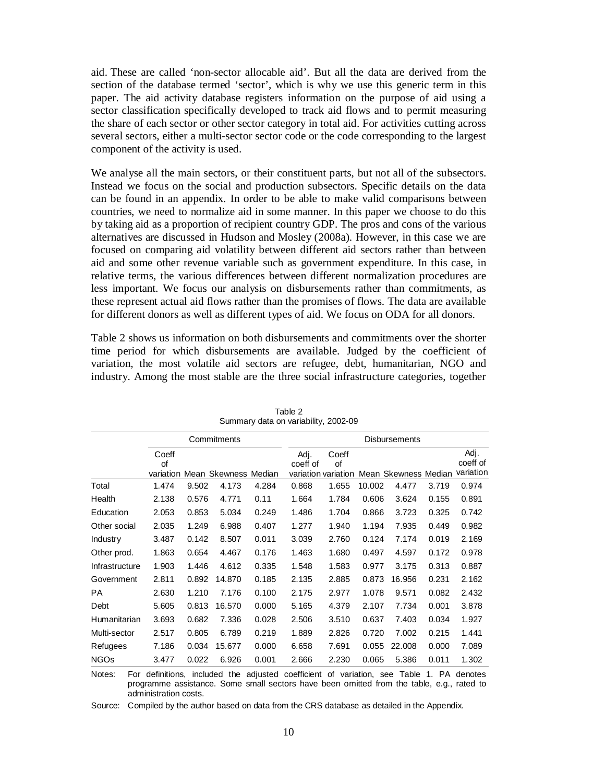aid. These are called 'non-sector allocable aid'. But all the data are derived from the section of the database termed 'sector', which is why we use this generic term in this paper. The aid activity database registers information on the purpose of aid using a sector classification specifically developed to track aid flows and to permit measuring the share of each sector or other sector category in total aid. For activities cutting across several sectors, either a multi-sector sector code or the code corresponding to the largest component of the activity is used.

We analyse all the main sectors, or their constituent parts, but not all of the subsectors. Instead we focus on the social and production subsectors. Specific details on the data can be found in an appendix. In order to be able to make valid comparisons between countries, we need to normalize aid in some manner. In this paper we choose to do this by taking aid as a proportion of recipient country GDP. The pros and cons of the various alternatives are discussed in Hudson and Mosley (2008a). However, in this case we are focused on comparing aid volatility between different aid sectors rather than between aid and some other revenue variable such as government expenditure. In this case, in relative terms, the various differences between different normalization procedures are less important. We focus our analysis on disbursements rather than commitments, as these represent actual aid flows rather than the promises of flows. The data are available for different donors as well as different types of aid. We focus on ODA for all donors.

Table 2 shows us information on both disbursements and commitments over the shorter time period for which disbursements are available. Judged by the coefficient of variation, the most volatile aid sectors are refugee, debt, humanitarian, NGO and industry. Among the most stable are the three social infrastructure categories, together

|                |             |       | Commitments                    |       | <b>Disbursements</b> |                                    |        |                      |       |                               |  |
|----------------|-------------|-------|--------------------------------|-------|----------------------|------------------------------------|--------|----------------------|-------|-------------------------------|--|
|                | Coeff<br>of |       | variation Mean Skewness Median |       | Adj.<br>coeff of     | Coeff<br>of<br>variation variation |        | Mean Skewness Median |       | Adj.<br>coeff of<br>variation |  |
| Total          | 1.474       | 9.502 | 4.173                          | 4.284 | 0.868                | 1.655                              | 10.002 | 4.477                | 3.719 | 0.974                         |  |
| Health         | 2.138       | 0.576 | 4.771                          | 0.11  | 1.664                | 1.784                              | 0.606  | 3.624                | 0.155 | 0.891                         |  |
| Education      | 2.053       | 0.853 | 5.034                          | 0.249 | 1.486                | 1.704                              | 0.866  | 3.723                | 0.325 | 0.742                         |  |
| Other social   | 2.035       | 1.249 | 6.988                          | 0.407 | 1.277                | 1.940                              | 1.194  | 7.935                | 0.449 | 0.982                         |  |
| Industry       | 3.487       | 0.142 | 8.507                          | 0.011 | 3.039                | 2.760                              | 0.124  | 7.174                | 0.019 | 2.169                         |  |
| Other prod.    | 1.863       | 0.654 | 4.467                          | 0.176 | 1.463                | 1.680                              | 0.497  | 4.597                | 0.172 | 0.978                         |  |
| Infrastructure | 1.903       | 1.446 | 4.612                          | 0.335 | 1.548                | 1.583                              | 0.977  | 3.175                | 0.313 | 0.887                         |  |
| Government     | 2.811       | 0.892 | 14.870                         | 0.185 | 2.135                | 2.885                              | 0.873  | 16.956               | 0.231 | 2.162                         |  |
| PA             | 2.630       | 1.210 | 7.176                          | 0.100 | 2.175                | 2.977                              | 1.078  | 9.571                | 0.082 | 2.432                         |  |
| Debt           | 5.605       | 0.813 | 16.570                         | 0.000 | 5.165                | 4.379                              | 2.107  | 7.734                | 0.001 | 3.878                         |  |
| Humanitarian   | 3.693       | 0.682 | 7.336                          | 0.028 | 2.506                | 3.510                              | 0.637  | 7.403                | 0.034 | 1.927                         |  |
| Multi-sector   | 2.517       | 0.805 | 6.789                          | 0.219 | 1.889                | 2.826                              | 0.720  | 7.002                | 0.215 | 1.441                         |  |
| Refugees       | 7.186       | 0.034 | 15.677                         | 0.000 | 6.658                | 7.691                              | 0.055  | 22.008               | 0.000 | 7.089                         |  |
| <b>NGOs</b>    | 3.477       | 0.022 | 6.926                          | 0.001 | 2.666                | 2.230                              | 0.065  | 5.386                | 0.011 | 1.302                         |  |

Table 2 Summary data on variability, 2002-09

Notes: For definitions, included the adjusted coefficient of variation, see Table 1. PA denotes programme assistance. Some small sectors have been omitted from the table, e.g., rated to administration costs.

Source: Compiled by the author based on data from the CRS database as detailed in the Appendix.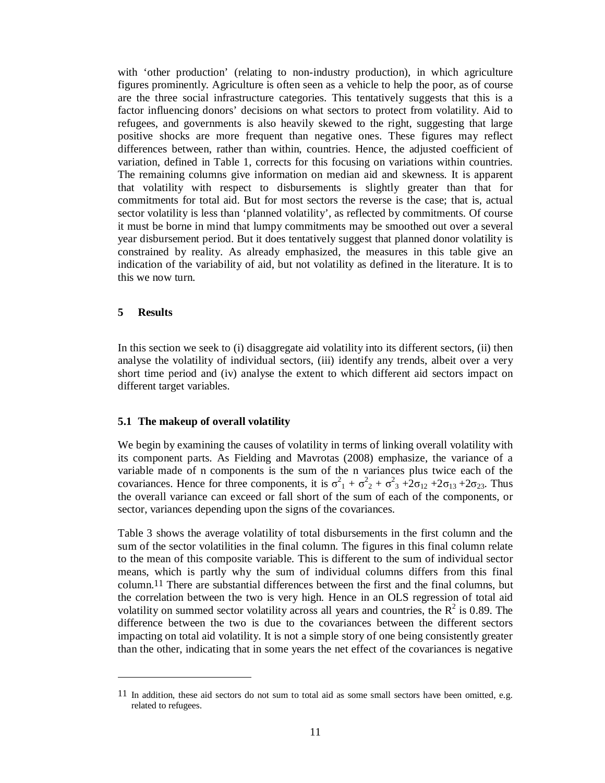with 'other production' (relating to non-industry production), in which agriculture figures prominently. Agriculture is often seen as a vehicle to help the poor, as of course are the three social infrastructure categories. This tentatively suggests that this is a factor influencing donors' decisions on what sectors to protect from volatility. Aid to refugees, and governments is also heavily skewed to the right, suggesting that large positive shocks are more frequent than negative ones. These figures may reflect differences between, rather than within, countries. Hence, the adjusted coefficient of variation, defined in Table 1, corrects for this focusing on variations within countries. The remaining columns give information on median aid and skewness. It is apparent that volatility with respect to disbursements is slightly greater than that for commitments for total aid. But for most sectors the reverse is the case; that is, actual sector volatility is less than 'planned volatility', as reflected by commitments. Of course it must be borne in mind that lumpy commitments may be smoothed out over a several year disbursement period. But it does tentatively suggest that planned donor volatility is constrained by reality. As already emphasized, the measures in this table give an indication of the variability of aid, but not volatility as defined in the literature. It is to this we now turn.

# **5 Results**

 $\overline{a}$ 

In this section we seek to (i) disaggregate aid volatility into its different sectors, (ii) then analyse the volatility of individual sectors, (iii) identify any trends, albeit over a very short time period and (iv) analyse the extent to which different aid sectors impact on different target variables.

# **5.1 The makeup of overall volatility**

We begin by examining the causes of volatility in terms of linking overall volatility with its component parts. As Fielding and Mavrotas (2008) emphasize, the variance of a variable made of n components is the sum of the n variances plus twice each of the covariances. Hence for three components, it is  $\sigma_1^2 + \sigma_2^2 + \sigma_3^2 + 2\sigma_{12} + 2\sigma_{13} + 2\sigma_{23}$ . Thus the overall variance can exceed or fall short of the sum of each of the components, or sector, variances depending upon the signs of the covariances.

Table 3 shows the average volatility of total disbursements in the first column and the sum of the sector volatilities in the final column. The figures in this final column relate to the mean of this composite variable. This is different to the sum of individual sector means, which is partly why the sum of individual columns differs from this final column.11 There are substantial differences between the first and the final columns, but the correlation between the two is very high. Hence in an OLS regression of total aid volatility on summed sector volatility across all years and countries, the  $R^2$  is 0.89. The difference between the two is due to the covariances between the different sectors impacting on total aid volatility. It is not a simple story of one being consistently greater than the other, indicating that in some years the net effect of the covariances is negative

<sup>11</sup> In addition, these aid sectors do not sum to total aid as some small sectors have been omitted, e.g. related to refugees.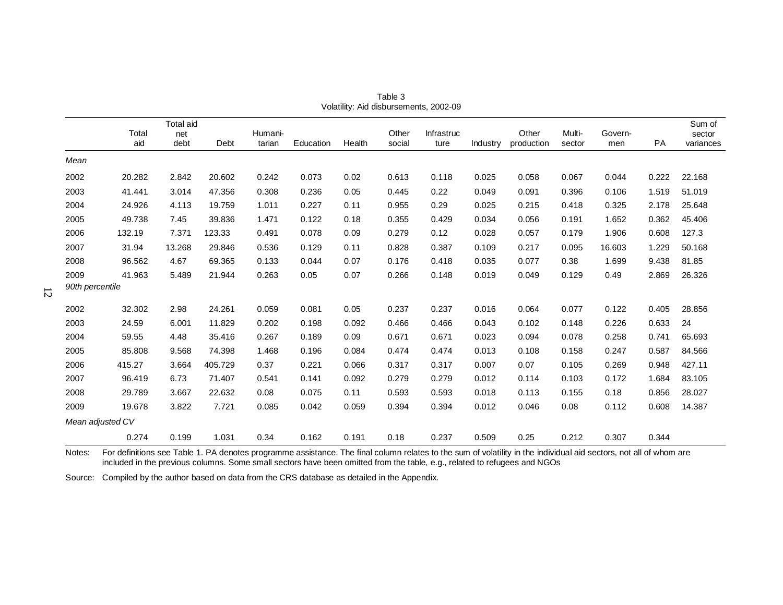|                  |              | Total aid   |         |                   |           |        |                 |                    |          |                     |                  |                |       | Sum of              |
|------------------|--------------|-------------|---------|-------------------|-----------|--------|-----------------|--------------------|----------|---------------------|------------------|----------------|-------|---------------------|
|                  | Total<br>aid | net<br>debt | Debt    | Humani-<br>tarian | Education | Health | Other<br>social | Infrastruc<br>ture | Industry | Other<br>production | Multi-<br>sector | Govern-<br>men | PA    | sector<br>variances |
|                  |              |             |         |                   |           |        |                 |                    |          |                     |                  |                |       |                     |
| Mean             |              |             |         |                   |           |        |                 |                    |          |                     |                  |                |       |                     |
| 2002             | 20.282       | 2.842       | 20.602  | 0.242             | 0.073     | 0.02   | 0.613           | 0.118              | 0.025    | 0.058               | 0.067            | 0.044          | 0.222 | 22.168              |
| 2003             | 41.441       | 3.014       | 47.356  | 0.308             | 0.236     | 0.05   | 0.445           | 0.22               | 0.049    | 0.091               | 0.396            | 0.106          | 1.519 | 51.019              |
| 2004             | 24.926       | 4.113       | 19.759  | 1.011             | 0.227     | 0.11   | 0.955           | 0.29               | 0.025    | 0.215               | 0.418            | 0.325          | 2.178 | 25.648              |
| 2005             | 49.738       | 7.45        | 39.836  | 1.471             | 0.122     | 0.18   | 0.355           | 0.429              | 0.034    | 0.056               | 0.191            | 1.652          | 0.362 | 45.406              |
| 2006             | 132.19       | 7.371       | 123.33  | 0.491             | 0.078     | 0.09   | 0.279           | 0.12               | 0.028    | 0.057               | 0.179            | 1.906          | 0.608 | 127.3               |
| 2007             | 31.94        | 13.268      | 29.846  | 0.536             | 0.129     | 0.11   | 0.828           | 0.387              | 0.109    | 0.217               | 0.095            | 16.603         | 1.229 | 50.168              |
| 2008             | 96.562       | 4.67        | 69.365  | 0.133             | 0.044     | 0.07   | 0.176           | 0.418              | 0.035    | 0.077               | 0.38             | 1.699          | 9.438 | 81.85               |
| 2009             | 41.963       | 5.489       | 21.944  | 0.263             | 0.05      | 0.07   | 0.266           | 0.148              | 0.019    | 0.049               | 0.129            | 0.49           | 2.869 | 26.326              |
| 90th percentile  |              |             |         |                   |           |        |                 |                    |          |                     |                  |                |       |                     |
| 2002             | 32.302       | 2.98        | 24.261  | 0.059             | 0.081     | 0.05   | 0.237           | 0.237              | 0.016    | 0.064               | 0.077            | 0.122          | 0.405 | 28.856              |
| 2003             | 24.59        | 6.001       | 11.829  | 0.202             | 0.198     | 0.092  | 0.466           | 0.466              | 0.043    | 0.102               | 0.148            | 0.226          | 0.633 | 24                  |
| 2004             | 59.55        | 4.48        | 35.416  | 0.267             | 0.189     | 0.09   | 0.671           | 0.671              | 0.023    | 0.094               | 0.078            | 0.258          | 0.741 | 65.693              |
| 2005             | 85.808       | 9.568       | 74.398  | 1.468             | 0.196     | 0.084  | 0.474           | 0.474              | 0.013    | 0.108               | 0.158            | 0.247          | 0.587 | 84.566              |
| 2006             | 415.27       | 3.664       | 405.729 | 0.37              | 0.221     | 0.066  | 0.317           | 0.317              | 0.007    | 0.07                | 0.105            | 0.269          | 0.948 | 427.11              |
| 2007             | 96.419       | 6.73        | 71.407  | 0.541             | 0.141     | 0.092  | 0.279           | 0.279              | 0.012    | 0.114               | 0.103            | 0.172          | 1.684 | 83.105              |
| 2008             | 29.789       | 3.667       | 22.632  | 0.08              | 0.075     | 0.11   | 0.593           | 0.593              | 0.018    | 0.113               | 0.155            | 0.18           | 0.856 | 28.027              |
| 2009             | 19.678       | 3.822       | 7.721   | 0.085             | 0.042     | 0.059  | 0.394           | 0.394              | 0.012    | 0.046               | 0.08             | 0.112          | 0.608 | 14.387              |
| Mean adjusted CV |              |             |         |                   |           |        |                 |                    |          |                     |                  |                |       |                     |
|                  | 0.274        | 0.199       | 1.031   | 0.34              | 0.162     | 0.191  | 0.18            | 0.237              | 0.509    | 0.25                | 0.212            | 0.307          | 0.344 |                     |

Table 3 Volatility: Aid disbursements, 2002-09

Notes: For definitions see Table 1. PA denotes programme assistance. The final column relates to the sum of volatility in the individual aid sectors, not all of whom are included in the previous columns. Some small sectors have been omitted from the table, e.g., related to refugees and NGOs

Source: Compiled by the author based on data from the CRS database as detailed in the Appendix.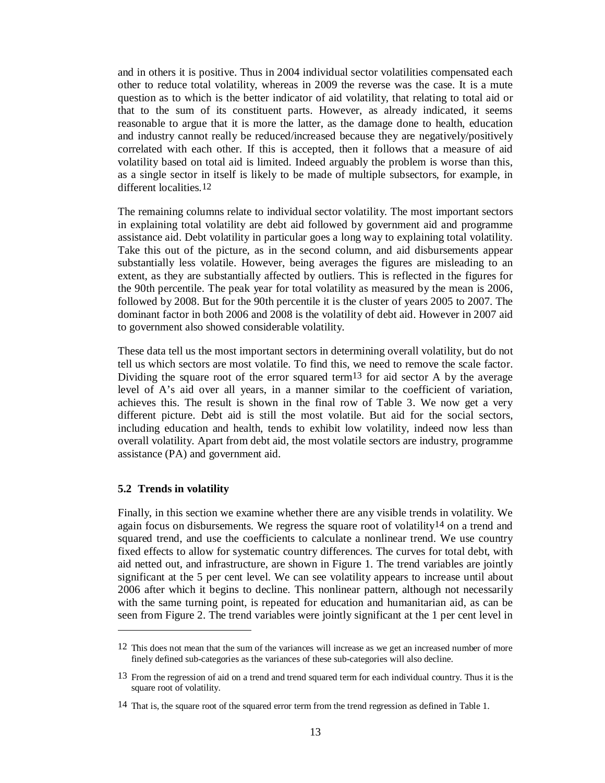and in others it is positive. Thus in 2004 individual sector volatilities compensated each other to reduce total volatility, whereas in 2009 the reverse was the case. It is a mute question as to which is the better indicator of aid volatility, that relating to total aid or that to the sum of its constituent parts. However, as already indicated, it seems reasonable to argue that it is more the latter, as the damage done to health, education and industry cannot really be reduced/increased because they are negatively/positively correlated with each other. If this is accepted, then it follows that a measure of aid volatility based on total aid is limited. Indeed arguably the problem is worse than this, as a single sector in itself is likely to be made of multiple subsectors, for example, in different localities.12

The remaining columns relate to individual sector volatility. The most important sectors in explaining total volatility are debt aid followed by government aid and programme assistance aid. Debt volatility in particular goes a long way to explaining total volatility. Take this out of the picture, as in the second column, and aid disbursements appear substantially less volatile. However, being averages the figures are misleading to an extent, as they are substantially affected by outliers. This is reflected in the figures for the 90th percentile. The peak year for total volatility as measured by the mean is 2006, followed by 2008. But for the 90th percentile it is the cluster of years 2005 to 2007. The dominant factor in both 2006 and 2008 is the volatility of debt aid. However in 2007 aid to government also showed considerable volatility.

These data tell us the most important sectors in determining overall volatility, but do not tell us which sectors are most volatile. To find this, we need to remove the scale factor. Dividing the square root of the error squared term<sup>13</sup> for aid sector A by the average level of A's aid over all years, in a manner similar to the coefficient of variation, achieves this. The result is shown in the final row of Table 3. We now get a very different picture. Debt aid is still the most volatile. But aid for the social sectors, including education and health, tends to exhibit low volatility, indeed now less than overall volatility. Apart from debt aid, the most volatile sectors are industry, programme assistance (PA) and government aid.

# **5.2 Trends in volatility**

 $\overline{a}$ 

Finally, in this section we examine whether there are any visible trends in volatility. We again focus on disbursements. We regress the square root of volatility14 on a trend and squared trend, and use the coefficients to calculate a nonlinear trend. We use country fixed effects to allow for systematic country differences. The curves for total debt, with aid netted out, and infrastructure, are shown in Figure 1. The trend variables are jointly significant at the 5 per cent level. We can see volatility appears to increase until about 2006 after which it begins to decline. This nonlinear pattern, although not necessarily with the same turning point, is repeated for education and humanitarian aid, as can be seen from Figure 2. The trend variables were jointly significant at the 1 per cent level in

 $12$  This does not mean that the sum of the variances will increase as we get an increased number of more finely defined sub-categories as the variances of these sub-categories will also decline.

<sup>13</sup> From the regression of aid on a trend and trend squared term for each individual country. Thus it is the square root of volatility.

<sup>14</sup> That is, the square root of the squared error term from the trend regression as defined in Table 1.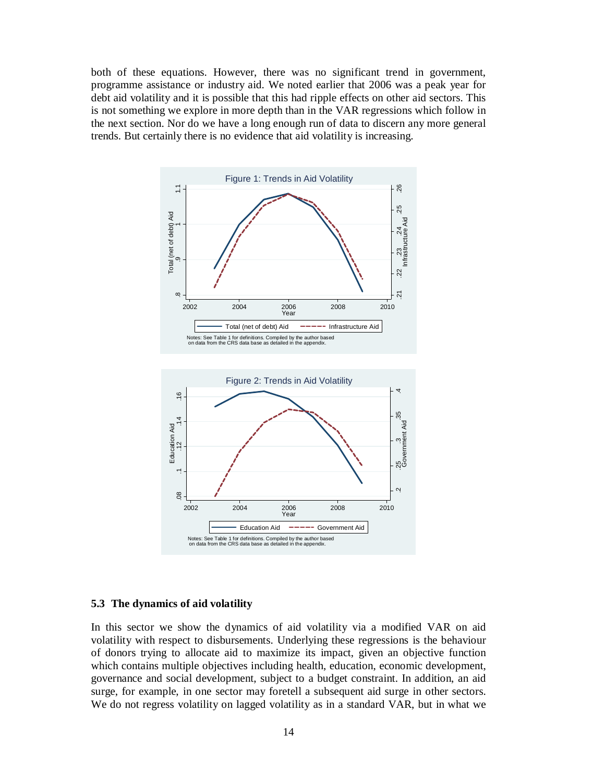both of these equations. However, there was no significant trend in government, programme assistance or industry aid. We noted earlier that 2006 was a peak year for debt aid volatility and it is possible that this had ripple effects on other aid sectors. This is not something we explore in more depth than in the VAR regressions which follow in the next section. Nor do we have a long enough run of data to discern any more general trends. But certainly there is no evidence that aid volatility is increasing.



# **5.3 The dynamics of aid volatility**

In this sector we show the dynamics of aid volatility via a modified VAR on aid volatility with respect to disbursements. Underlying these regressions is the behaviour of donors trying to allocate aid to maximize its impact, given an objective function which contains multiple objectives including health, education, economic development, governance and social development, subject to a budget constraint. In addition, an aid surge, for example, in one sector may foretell a subsequent aid surge in other sectors.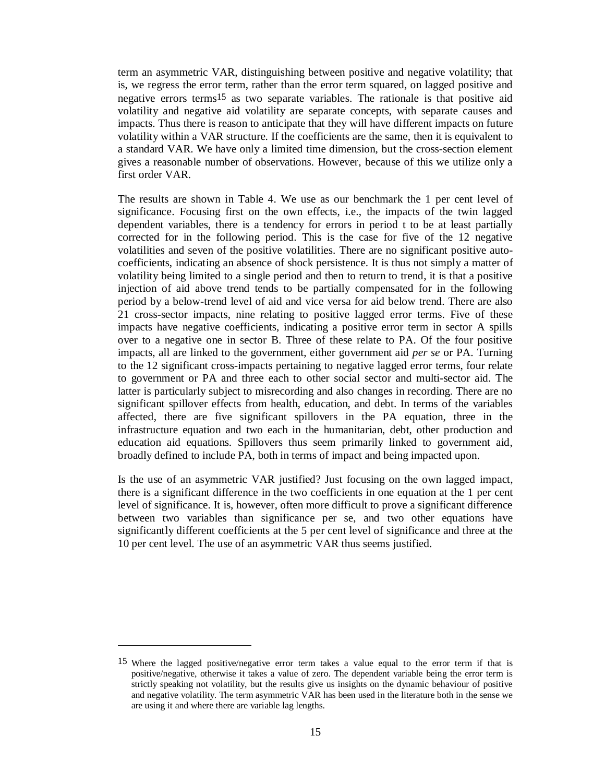term an asymmetric VAR, distinguishing between positive and negative volatility; that is, we regress the error term, rather than the error term squared, on lagged positive and negative errors terms15 as two separate variables. The rationale is that positive aid volatility and negative aid volatility are separate concepts, with separate causes and impacts. Thus there is reason to anticipate that they will have different impacts on future volatility within a VAR structure. If the coefficients are the same, then it is equivalent to a standard VAR. We have only a limited time dimension, but the cross-section element gives a reasonable number of observations. However, because of this we utilize only a first order VAR.

The results are shown in Table 4. We use as our benchmark the 1 per cent level of significance. Focusing first on the own effects, i.e., the impacts of the twin lagged dependent variables, there is a tendency for errors in period t to be at least partially corrected for in the following period. This is the case for five of the 12 negative volatilities and seven of the positive volatilities. There are no significant positive autocoefficients, indicating an absence of shock persistence. It is thus not simply a matter of volatility being limited to a single period and then to return to trend, it is that a positive injection of aid above trend tends to be partially compensated for in the following period by a below-trend level of aid and vice versa for aid below trend. There are also 21 cross-sector impacts, nine relating to positive lagged error terms. Five of these impacts have negative coefficients, indicating a positive error term in sector A spills over to a negative one in sector B. Three of these relate to PA. Of the four positive impacts, all are linked to the government, either government aid *per se* or PA. Turning to the 12 significant cross-impacts pertaining to negative lagged error terms, four relate to government or PA and three each to other social sector and multi-sector aid. The latter is particularly subject to misrecording and also changes in recording. There are no significant spillover effects from health, education, and debt. In terms of the variables affected, there are five significant spillovers in the PA equation, three in the infrastructure equation and two each in the humanitarian, debt, other production and education aid equations. Spillovers thus seem primarily linked to government aid, broadly defined to include PA, both in terms of impact and being impacted upon.

Is the use of an asymmetric VAR justified? Just focusing on the own lagged impact, there is a significant difference in the two coefficients in one equation at the 1 per cent level of significance. It is, however, often more difficult to prove a significant difference between two variables than significance per se, and two other equations have significantly different coefficients at the 5 per cent level of significance and three at the 10 per cent level. The use of an asymmetric VAR thus seems justified.

 $\overline{a}$ 

<sup>15</sup> Where the lagged positive/negative error term takes a value equal to the error term if that is positive/negative, otherwise it takes a value of zero. The dependent variable being the error term is strictly speaking not volatility, but the results give us insights on the dynamic behaviour of positive and negative volatility. The term asymmetric VAR has been used in the literature both in the sense we are using it and where there are variable lag lengths.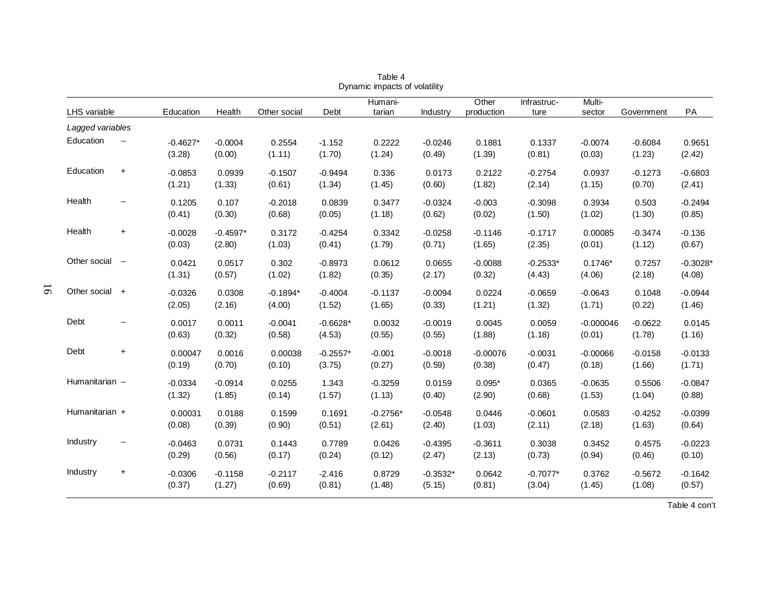|                  |                          |                      |                      |                      |                      | Dynamic impacts of volatility |                      |                      |                      |                       |                     |                                  |
|------------------|--------------------------|----------------------|----------------------|----------------------|----------------------|-------------------------------|----------------------|----------------------|----------------------|-----------------------|---------------------|----------------------------------|
| LHS variable     |                          | Education            | Health               | Other social         | Debt                 | Humani-<br>tarian             | Industry             | Other<br>production  | Infrastruc-<br>ture  | Multi-<br>sector      | Government          | PA                               |
| Lagged variables |                          |                      |                      |                      |                      |                               |                      |                      |                      |                       |                     |                                  |
| Education        | $\overline{\phantom{m}}$ | $-0.4627*$<br>(3.28) | $-0.0004$<br>(0.00)  | 0.2554<br>(1.11)     | $-1.152$<br>(1.70)   | 0.2222<br>(1.24)              | $-0.0246$<br>(0.49)  | 0.1881<br>(1.39)     | 0.1337<br>(0.81)     | $-0.0074$<br>(0.03)   | $-0.6084$<br>(1.23) | 0.9651<br>(2.42)                 |
| Education        | $\ddot{}$                | $-0.0853$<br>(1.21)  | 0.0939<br>(1.33)     | $-0.1507$<br>(0.61)  | $-0.9494$<br>(1.34)  | 0.336<br>(1.45)               | 0.0173<br>(0.60)     | 0.2122<br>(1.82)     | $-0.2754$<br>(2.14)  | 0.0937<br>(1.15)      | $-0.1273$<br>(0.70) | $-0.6803$<br>(2.41)              |
| Health           | $\qquad \qquad -$        | 0.1205<br>(0.41)     | 0.107<br>(0.30)      | $-0.2018$<br>(0.68)  | 0.0839<br>(0.05)     | 0.3477<br>(1.18)              | $-0.0324$<br>(0.62)  | $-0.003$<br>(0.02)   | $-0.3098$<br>(1.50)  | 0.3934<br>(1.02)      | 0.503<br>(1.30)     | $-0.2494$<br>(0.85)              |
| Health           | $\ddot{}$                | $-0.0028$<br>(0.03)  | $-0.4597*$<br>(2.80) | 0.3172<br>(1.03)     | $-0.4254$<br>(0.41)  | 0.3342<br>(1.79)              | $-0.0258$<br>(0.71)  | $-0.1146$<br>(1.65)  | $-0.1717$<br>(2.35)  | 0.00085<br>(0.01)     | $-0.3474$<br>(1.12) | $-0.136$<br>(0.67)               |
| Other social     | $\overline{\phantom{m}}$ | 0.0421<br>(1.31)     | 0.0517<br>(0.57)     | 0.302<br>(1.02)      | $-0.8973$<br>(1.82)  | 0.0612<br>(0.35)              | 0.0655<br>(2.17)     | $-0.0088$<br>(0.32)  | $-0.2533*$<br>(4.43) | $0.1746*$<br>(4.06)   | 0.7257<br>(2.18)    | $-0.3028$ <sup>*</sup><br>(4.08) |
| Other social     | $+$                      | $-0.0326$<br>(2.05)  | 0.0308<br>(2.16)     | $-0.1894*$<br>(4.00) | $-0.4004$<br>(1.52)  | $-0.1137$<br>(1.65)           | $-0.0094$<br>(0.33)  | 0.0224<br>(1.21)     | $-0.0659$<br>(1.32)  | $-0.0643$<br>(1.71)   | 0.1048<br>(0.22)    | $-0.0944$<br>(1.46)              |
| Debt             |                          | 0.0017<br>(0.63)     | 0.0011<br>(0.32)     | $-0.0041$<br>(0.58)  | $-0.6628*$<br>(4.53) | 0.0032<br>(0.55)              | $-0.0019$<br>(0.55)  | 0.0045<br>(1.88)     | 0.0059<br>(1.18)     | $-0.000046$<br>(0.01) | $-0.0622$<br>(1.78) | 0.0145<br>(1.16)                 |
| Debt             | $\ddot{}$                | 0.00047<br>(0.19)    | 0.0016<br>(0.70)     | 0.00038<br>(0.10)    | $-0.2557*$<br>(3.75) | $-0.001$<br>(0.27)            | $-0.0018$<br>(0.59)  | $-0.00076$<br>(0.38) | $-0.0031$<br>(0.47)  | $-0.00066$<br>(0.18)  | $-0.0158$<br>(1.66) | $-0.0133$<br>(1.71)              |
| Humanitarian -   |                          | $-0.0334$<br>(1.32)  | $-0.0914$<br>(1.85)  | 0.0255<br>(0.14)     | 1.343<br>(1.57)      | $-0.3259$<br>(1.13)           | 0.0159<br>(0.40)     | $0.095*$<br>(2.90)   | 0.0365<br>(0.68)     | $-0.0635$<br>(1.53)   | 0.5506<br>(1.04)    | $-0.0847$<br>(0.88)              |
| Humanitarian +   |                          | 0.00031<br>(0.08)    | 0.0188<br>(0.39)     | 0.1599<br>(0.90)     | 0.1691<br>(0.51)     | $-0.2756*$<br>(2.61)          | $-0.0548$<br>(2.40)  | 0.0446<br>(1.03)     | $-0.0601$<br>(2.11)  | 0.0583<br>(2.18)      | $-0.4252$<br>(1.63) | $-0.0399$<br>(0.64)              |
| Industry         | $\overline{\phantom{m}}$ | $-0.0463$<br>(0.29)  | 0.0731<br>(0.56)     | 0.1443<br>(0.17)     | 0.7789<br>(0.24)     | 0.0426<br>(0.12)              | $-0.4395$<br>(2.47)  | $-0.3611$<br>(2.13)  | 0.3038<br>(0.73)     | 0.3452<br>(0.94)      | 0.4575<br>(0.46)    | $-0.0223$<br>(0.10)              |
| Industry         | $\ddot{}$                | $-0.0306$<br>(0.37)  | $-0.1158$<br>(1.27)  | $-0.2117$<br>(0.69)  | $-2.416$<br>(0.81)   | 0.8729<br>(1.48)              | $-0.3532*$<br>(5.15) | 0.0642<br>(0.81)     | $-0.7077*$<br>(3.04) | 0.3762<br>(1.45)      | $-0.5672$<br>(1.08) | $-0.1642$<br>(0.57)              |

16

Table 4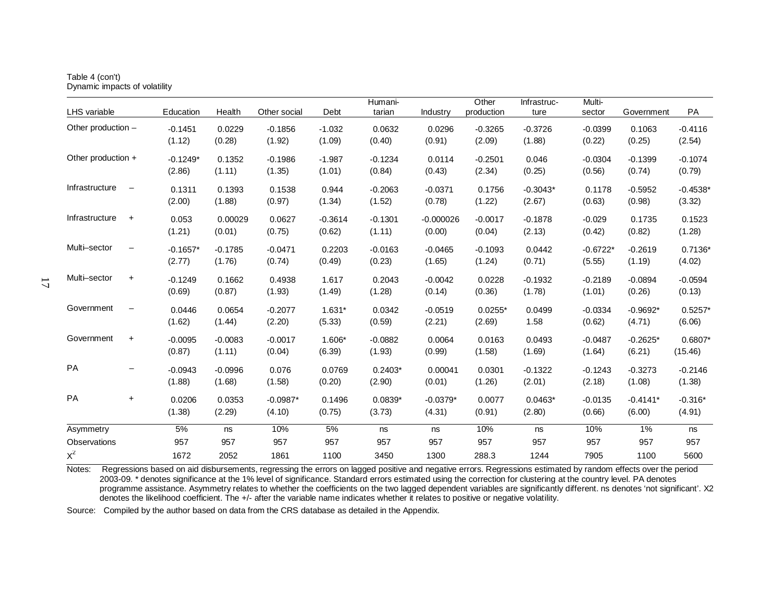| Table 4 (con't) |                               |
|-----------------|-------------------------------|
|                 | Dynamic impacts of volatility |

|                    |                          |            |           |              |           | Humani-   |             | Other      | Infrastruc- | Multi-     |            |            |
|--------------------|--------------------------|------------|-----------|--------------|-----------|-----------|-------------|------------|-------------|------------|------------|------------|
| LHS variable       |                          | Education  | Health    | Other social | Debt      | tarian    | Industry    | production | ture        | sector     | Government | PA         |
| Other production - |                          | $-0.1451$  | 0.0229    | $-0.1856$    | $-1.032$  | 0.0632    | 0.0296      | $-0.3265$  | $-0.3726$   | $-0.0399$  | 0.1063     | $-0.4116$  |
|                    |                          | (1.12)     | (0.28)    | (1.92)       | (1.09)    | (0.40)    | (0.91)      | (2.09)     | (1.88)      | (0.22)     | (0.25)     | (2.54)     |
| Other production + |                          | $-0.1249*$ | 0.1352    | $-0.1986$    | $-1.987$  | $-0.1234$ | 0.0114      | $-0.2501$  | 0.046       | $-0.0304$  | $-0.1399$  | $-0.1074$  |
|                    |                          | (2.86)     | (1.11)    | (1.35)       | (1.01)    | (0.84)    | (0.43)      | (2.34)     | (0.25)      | (0.56)     | (0.74)     | (0.79)     |
| Infrastructure     | $\overline{\phantom{m}}$ | 0.1311     | 0.1393    | 0.1538       | 0.944     | $-0.2063$ | $-0.0371$   | 0.1756     | $-0.3043*$  | 0.1178     | $-0.5952$  | $-0.4538*$ |
|                    |                          | (2.00)     | (1.88)    | (0.97)       | (1.34)    | (1.52)    | (0.78)      | (1.22)     | (2.67)      | (0.63)     | (0.98)     | (3.32)     |
| Infrastructure     | $\ddot{}$                | 0.053      | 0.00029   | 0.0627       | $-0.3614$ | $-0.1301$ | $-0.000026$ | $-0.0017$  | $-0.1878$   | $-0.029$   | 0.1735     | 0.1523     |
|                    |                          | (1.21)     | (0.01)    | (0.75)       | (0.62)    | (1.11)    | (0.00)      | (0.04)     | (2.13)      | (0.42)     | (0.82)     | (1.28)     |
| Multi-sector       | $\qquad \qquad -$        | $-0.1657*$ | $-0.1785$ | $-0.0471$    | 0.2203    | $-0.0163$ | $-0.0465$   | $-0.1093$  | 0.0442      | $-0.6722*$ | $-0.2619$  | $0.7136*$  |
|                    |                          | (2.77)     | (1.76)    | (0.74)       | (0.49)    | (0.23)    | (1.65)      | (1.24)     | (0.71)      | (5.55)     | (1.19)     | (4.02)     |
| Multi-sector       | $\ddot{}$                | $-0.1249$  | 0.1662    | 0.4938       | 1.617     | 0.2043    | $-0.0042$   | 0.0228     | $-0.1932$   | $-0.2189$  | $-0.0894$  | $-0.0594$  |
|                    |                          | (0.69)     | (0.87)    | (1.93)       | (1.49)    | (1.28)    | (0.14)      | (0.36)     | (1.78)      | (1.01)     | (0.26)     | (0.13)     |
| Government         | $\qquad \qquad -$        | 0.0446     | 0.0654    | $-0.2077$    | $1.631*$  | 0.0342    | $-0.0519$   | $0.0255*$  | 0.0499      | $-0.0334$  | $-0.9692*$ | $0.5257*$  |
|                    |                          | (1.62)     | (1.44)    | (2.20)       | (5.33)    | (0.59)    | (2.21)      | (2.69)     | 1.58        | (0.62)     | (4.71)     | (6.06)     |
| Government         | $\ddot{}$                | $-0.0095$  | $-0.0083$ | $-0.0017$    | 1.606*    | $-0.0882$ | 0.0064      | 0.0163     | 0.0493      | $-0.0487$  | $-0.2625*$ | $0.6807*$  |
|                    |                          | (0.87)     | (1.11)    | (0.04)       | (6.39)    | (1.93)    | (0.99)      | (1.58)     | (1.69)      | (1.64)     | (6.21)     | (15.46)    |
| PA                 |                          | $-0.0943$  | $-0.0996$ | 0.076        | 0.0769    | $0.2403*$ | 0.00041     | 0.0301     | $-0.1322$   | $-0.1243$  | $-0.3273$  | $-0.2146$  |
|                    |                          | (1.88)     | (1.68)    | (1.58)       | (0.20)    | (2.90)    | (0.01)      | (1.26)     | (2.01)      | (2.18)     | (1.08)     | (1.38)     |
| <b>PA</b>          | $\ddot{}$                | 0.0206     | 0.0353    | $-0.0987*$   | 0.1496    | $0.0839*$ | $-0.0379*$  | 0.0077     | $0.0463*$   | $-0.0135$  | $-0.4141*$ | $-0.316*$  |
|                    |                          | (1.38)     | (2.29)    | (4.10)       | (0.75)    | (3.73)    | (4.31)      | (0.91)     | (2.80)      | (0.66)     | (6.00)     | (4.91)     |
| Asymmetry          |                          | 5%         | ns        | 10%          | 5%        | ns        | ns          | 10%        | ns          | 10%        | 1%         | ns         |
| Observations       |                          | 957        | 957       | 957          | 957       | 957       | 957         | 957        | 957         | 957        | 957        | 957        |
| $X^2$              |                          | 1672       | 2052      | 1861         | 1100      | 3450      | 1300        | 288.3      | 1244        | 7905       | 1100       | 5600       |

Notes: Regressions based on aid disbursements, regressing the errors on lagged positive and negative errors. Regressions estimated by random effects over the period 2003-09. \* denotes significance at the 1% level of significance. Standard errors estimated using the correction for clustering at the country level. PA denotes programme assistance. Asymmetry relates to whether the coefficients on the two lagged dependent variables are significantly different. ns denotes 'not significant'. X2 denotes the likelihood coefficient. The +/- after the variable name indicates whether it relates to positive or negative volatility.

Source: Compiled by the author based on data from the CRS database as detailed in the Appendix.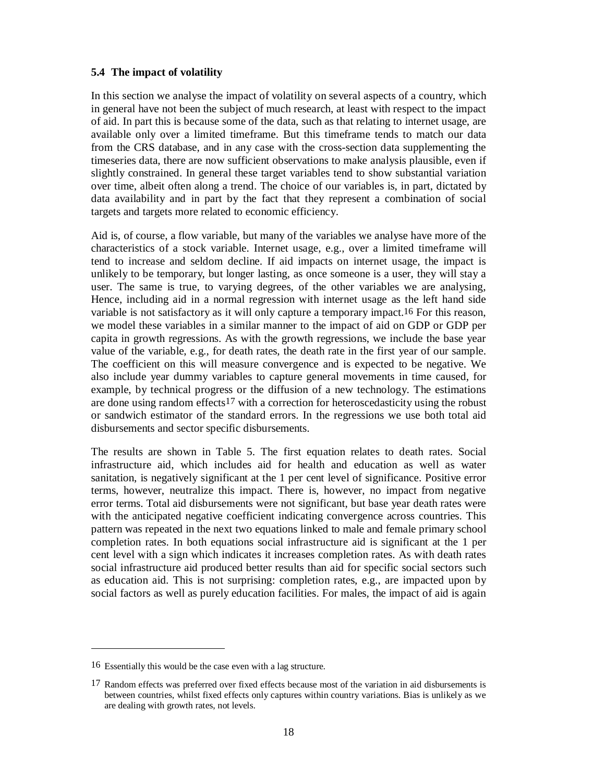# **5.4 The impact of volatility**

In this section we analyse the impact of volatility on several aspects of a country, which in general have not been the subject of much research, at least with respect to the impact of aid. In part this is because some of the data, such as that relating to internet usage, are available only over a limited timeframe. But this timeframe tends to match our data from the CRS database, and in any case with the cross-section data supplementing the timeseries data, there are now sufficient observations to make analysis plausible, even if slightly constrained. In general these target variables tend to show substantial variation over time, albeit often along a trend. The choice of our variables is, in part, dictated by data availability and in part by the fact that they represent a combination of social targets and targets more related to economic efficiency.

Aid is, of course, a flow variable, but many of the variables we analyse have more of the characteristics of a stock variable. Internet usage, e.g., over a limited timeframe will tend to increase and seldom decline. If aid impacts on internet usage, the impact is unlikely to be temporary, but longer lasting, as once someone is a user, they will stay a user. The same is true, to varying degrees, of the other variables we are analysing, Hence, including aid in a normal regression with internet usage as the left hand side variable is not satisfactory as it will only capture a temporary impact.16 For this reason, we model these variables in a similar manner to the impact of aid on GDP or GDP per capita in growth regressions. As with the growth regressions, we include the base year value of the variable, e.g., for death rates, the death rate in the first year of our sample. The coefficient on this will measure convergence and is expected to be negative. We also include year dummy variables to capture general movements in time caused, for example, by technical progress or the diffusion of a new technology. The estimations are done using random effects17 with a correction for heteroscedasticity using the robust or sandwich estimator of the standard errors. In the regressions we use both total aid disbursements and sector specific disbursements.

The results are shown in Table 5. The first equation relates to death rates. Social infrastructure aid, which includes aid for health and education as well as water sanitation, is negatively significant at the 1 per cent level of significance. Positive error terms, however, neutralize this impact. There is, however, no impact from negative error terms. Total aid disbursements were not significant, but base year death rates were with the anticipated negative coefficient indicating convergence across countries. This pattern was repeated in the next two equations linked to male and female primary school completion rates. In both equations social infrastructure aid is significant at the 1 per cent level with a sign which indicates it increases completion rates. As with death rates social infrastructure aid produced better results than aid for specific social sectors such as education aid. This is not surprising: completion rates, e.g., are impacted upon by social factors as well as purely education facilities. For males, the impact of aid is again

 $\overline{a}$ 

<sup>16</sup> Essentially this would be the case even with a lag structure.

<sup>&</sup>lt;sup>17</sup> Random effects was preferred over fixed effects because most of the variation in aid disbursements is between countries, whilst fixed effects only captures within country variations. Bias is unlikely as we are dealing with growth rates, not levels.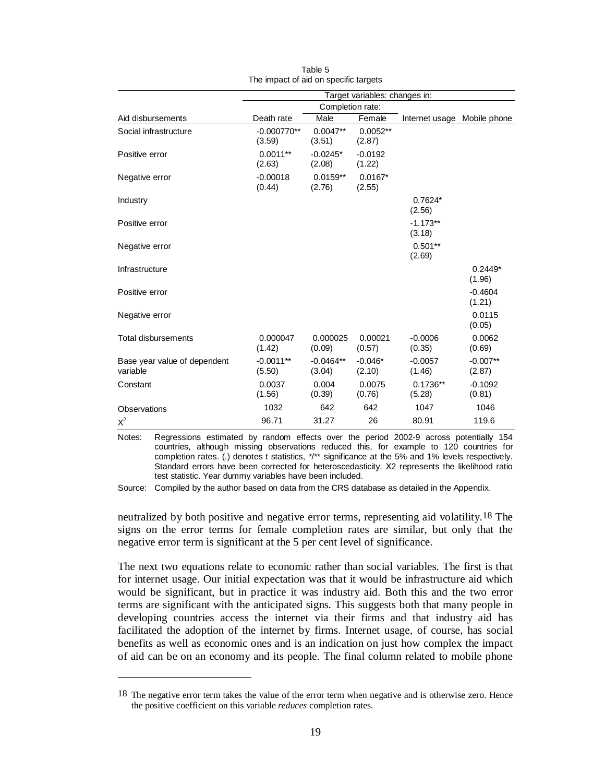|                                          | Target variables: changes in: |                       |                      |                             |                      |  |
|------------------------------------------|-------------------------------|-----------------------|----------------------|-----------------------------|----------------------|--|
|                                          |                               | Completion rate:      |                      |                             |                      |  |
| Aid disbursements                        | Death rate                    | Male                  | Female               | Internet usage Mobile phone |                      |  |
| Social infrastructure                    | $-0.000770**$<br>(3.59)       | $0.0047**$<br>(3.51)  | $0.0052**$<br>(2.87) |                             |                      |  |
| Positive error                           | $0.0011**$<br>(2.63)          | $-0.0245*$<br>(2.08)  | $-0.0192$<br>(1.22)  |                             |                      |  |
| Negative error                           | $-0.00018$<br>(0.44)          | $0.0159**$<br>(2.76)  | $0.0167*$<br>(2.55)  |                             |                      |  |
| Industry                                 |                               |                       |                      | $0.7624*$<br>(2.56)         |                      |  |
| Positive error                           |                               |                       |                      | $-1.173**$<br>(3.18)        |                      |  |
| Negative error                           |                               |                       |                      | $0.501**$<br>(2.69)         |                      |  |
| Infrastructure                           |                               |                       |                      |                             | $0.2449*$<br>(1.96)  |  |
| Positive error                           |                               |                       |                      |                             | $-0.4604$<br>(1.21)  |  |
| Negative error                           |                               |                       |                      |                             | 0.0115<br>(0.05)     |  |
| <b>Total disbursements</b>               | 0.000047<br>(1.42)            | 0.000025<br>(0.09)    | 0.00021<br>(0.57)    | $-0.0006$<br>(0.35)         | 0.0062<br>(0.69)     |  |
| Base year value of dependent<br>variable | $-0.0011**$<br>(5.50)         | $-0.0464**$<br>(3.04) | $-0.046*$<br>(2.10)  | $-0.0057$<br>(1.46)         | $-0.007**$<br>(2.87) |  |
| Constant                                 | 0.0037<br>(1.56)              | 0.004<br>(0.39)       | 0.0075<br>(0.76)     | $0.1736**$<br>(5.28)        | $-0.1092$<br>(0.81)  |  |
| Observations                             | 1032                          | 642                   | 642                  | 1047                        | 1046                 |  |
| $X^2$                                    | 96.71                         | 31.27                 | 26                   | 80.91                       | 119.6                |  |

|                                       | Table 5 |  |
|---------------------------------------|---------|--|
| The impact of aid on specific targets |         |  |

Notes: Regressions estimated by random effects over the period 2002-9 across potentially 154 countries, although missing observations reduced this, for example to 120 countries for completion rates. (.) denotes t statistics, \*/\*\* significance at the 5% and 1% levels respectively. Standard errors have been corrected for heteroscedasticity. Χ2 represents the likelihood ratio test statistic. Year dummy variables have been included.

Source: Compiled by the author based on data from the CRS database as detailed in the Appendix.

neutralized by both positive and negative error terms, representing aid volatility.18 The signs on the error terms for female completion rates are similar, but only that the negative error term is significant at the 5 per cent level of significance.

The next two equations relate to economic rather than social variables. The first is that for internet usage. Our initial expectation was that it would be infrastructure aid which would be significant, but in practice it was industry aid. Both this and the two error terms are significant with the anticipated signs. This suggests both that many people in developing countries access the internet via their firms and that industry aid has facilitated the adoption of the internet by firms. Internet usage, of course, has social benefits as well as economic ones and is an indication on just how complex the impact of aid can be on an economy and its people. The final column related to mobile phone

 $\overline{a}$ 

<sup>&</sup>lt;sup>18</sup> The negative error term takes the value of the error term when negative and is otherwise zero. Hence the positive coefficient on this variable *reduces* completion rates.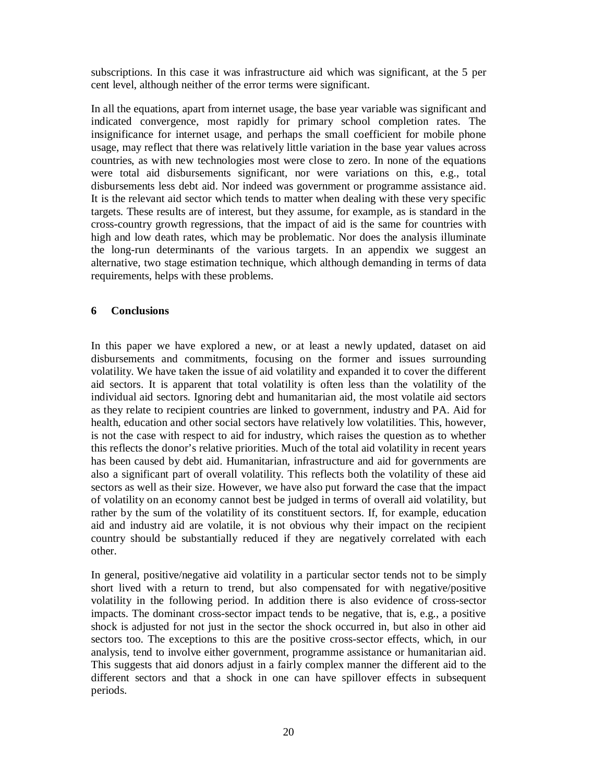subscriptions. In this case it was infrastructure aid which was significant, at the 5 per cent level, although neither of the error terms were significant.

In all the equations, apart from internet usage, the base year variable was significant and indicated convergence, most rapidly for primary school completion rates. The insignificance for internet usage, and perhaps the small coefficient for mobile phone usage, may reflect that there was relatively little variation in the base year values across countries, as with new technologies most were close to zero. In none of the equations were total aid disbursements significant, nor were variations on this, e.g., total disbursements less debt aid. Nor indeed was government or programme assistance aid. It is the relevant aid sector which tends to matter when dealing with these very specific targets. These results are of interest, but they assume, for example, as is standard in the cross-country growth regressions, that the impact of aid is the same for countries with high and low death rates, which may be problematic. Nor does the analysis illuminate the long-run determinants of the various targets. In an appendix we suggest an alternative, two stage estimation technique, which although demanding in terms of data requirements, helps with these problems.

# **6 Conclusions**

In this paper we have explored a new, or at least a newly updated, dataset on aid disbursements and commitments, focusing on the former and issues surrounding volatility. We have taken the issue of aid volatility and expanded it to cover the different aid sectors. It is apparent that total volatility is often less than the volatility of the individual aid sectors. Ignoring debt and humanitarian aid, the most volatile aid sectors as they relate to recipient countries are linked to government, industry and PA. Aid for health, education and other social sectors have relatively low volatilities. This, however, is not the case with respect to aid for industry, which raises the question as to whether this reflects the donor's relative priorities. Much of the total aid volatility in recent years has been caused by debt aid. Humanitarian, infrastructure and aid for governments are also a significant part of overall volatility. This reflects both the volatility of these aid sectors as well as their size. However, we have also put forward the case that the impact of volatility on an economy cannot best be judged in terms of overall aid volatility, but rather by the sum of the volatility of its constituent sectors. If, for example, education aid and industry aid are volatile, it is not obvious why their impact on the recipient country should be substantially reduced if they are negatively correlated with each other.

In general, positive/negative aid volatility in a particular sector tends not to be simply short lived with a return to trend, but also compensated for with negative/positive volatility in the following period. In addition there is also evidence of cross-sector impacts. The dominant cross-sector impact tends to be negative, that is, e.g., a positive shock is adjusted for not just in the sector the shock occurred in, but also in other aid sectors too. The exceptions to this are the positive cross-sector effects, which, in our analysis, tend to involve either government, programme assistance or humanitarian aid. This suggests that aid donors adjust in a fairly complex manner the different aid to the different sectors and that a shock in one can have spillover effects in subsequent periods.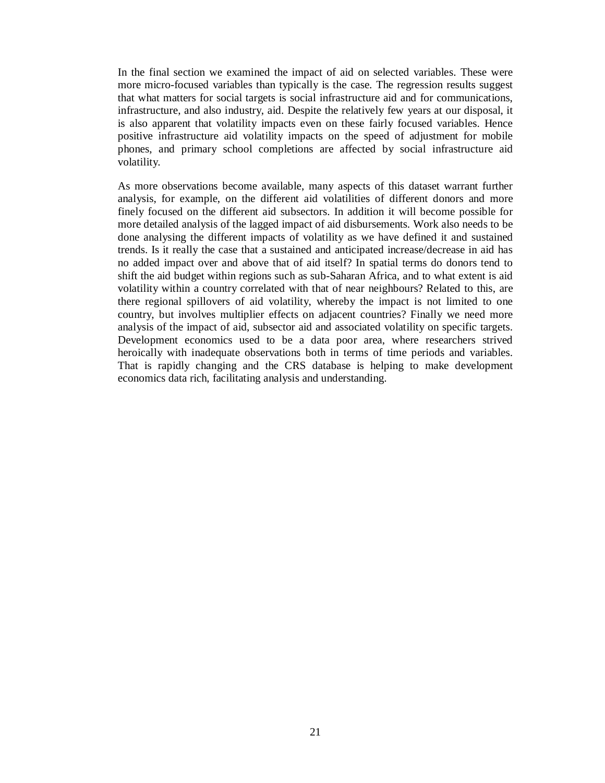In the final section we examined the impact of aid on selected variables. These were more micro-focused variables than typically is the case. The regression results suggest that what matters for social targets is social infrastructure aid and for communications, infrastructure, and also industry, aid. Despite the relatively few years at our disposal, it is also apparent that volatility impacts even on these fairly focused variables. Hence positive infrastructure aid volatility impacts on the speed of adjustment for mobile phones, and primary school completions are affected by social infrastructure aid volatility.

As more observations become available, many aspects of this dataset warrant further analysis, for example, on the different aid volatilities of different donors and more finely focused on the different aid subsectors. In addition it will become possible for more detailed analysis of the lagged impact of aid disbursements. Work also needs to be done analysing the different impacts of volatility as we have defined it and sustained trends. Is it really the case that a sustained and anticipated increase/decrease in aid has no added impact over and above that of aid itself? In spatial terms do donors tend to shift the aid budget within regions such as sub-Saharan Africa, and to what extent is aid volatility within a country correlated with that of near neighbours? Related to this, are there regional spillovers of aid volatility, whereby the impact is not limited to one country, but involves multiplier effects on adjacent countries? Finally we need more analysis of the impact of aid, subsector aid and associated volatility on specific targets. Development economics used to be a data poor area, where researchers strived heroically with inadequate observations both in terms of time periods and variables. That is rapidly changing and the CRS database is helping to make development economics data rich, facilitating analysis and understanding.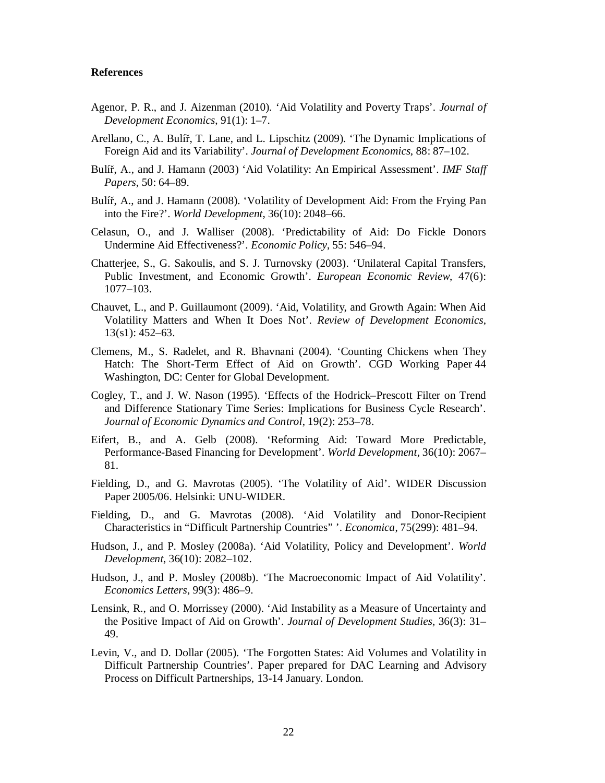#### **References**

- Agenor, P. R., and J. Aizenman (2010). 'Aid Volatility and Poverty Traps'. *Journal of Development Economics*, 91(1): 1–7.
- Arellano, C., A. Bulíř, T. Lane, and L. Lipschitz (2009). 'The Dynamic Implications of Foreign Aid and its Variability'. *Journal of Development Economics*, 88: 87–102.
- Bulíř, A., and J. Hamann (2003) 'Aid Volatility: An Empirical Assessment'. *IMF Staff Papers*, 50: 64–89.
- Bulíř, A., and J. Hamann (2008). 'Volatility of Development Aid: From the Frying Pan into the Fire?'. *World Development*, 36(10): 2048–66.
- Celasun, O., and J. Walliser (2008). 'Predictability of Aid: Do Fickle Donors Undermine Aid Effectiveness?'. *Economic Policy*, 55: 546–94.
- Chatterjee, S., G. Sakoulis, and S. J. Turnovsky (2003). 'Unilateral Capital Transfers, Public Investment, and Economic Growth'. *European Economic Review*, 47(6): 1077–103.
- Chauvet, L., and P. Guillaumont (2009). 'Aid, Volatility, and Growth Again: When Aid Volatility Matters and When It Does Not'. *Review of Development Economics*, 13(s1): 452–63.
- Clemens, M., S. Radelet, and R. Bhavnani (2004). 'Counting Chickens when They Hatch: The Short-Term Effect of Aid on Growth'. CGD Working Paper 44 Washington, DC: Center for Global Development.
- Cogley, T., and J. W. Nason (1995). 'Effects of the Hodrick–Prescott Filter on Trend and Difference Stationary Time Series: Implications for Business Cycle Research'. *Journal of Economic Dynamics and Control*, 19(2): 253–78.
- Eifert, B., and A. Gelb (2008). 'Reforming Aid: Toward More Predictable, Performance-Based Financing for Development'. *World Development*, 36(10): 2067– 81.
- Fielding, D., and G. Mavrotas (2005). 'The Volatility of Aid'. WIDER Discussion Paper 2005/06. Helsinki: UNU-WIDER.
- Fielding, D., and G. Mavrotas (2008). 'Aid Volatility and Donor-Recipient Characteristics in "Difficult Partnership Countries" '. *Economica*, 75(299): 481–94.
- Hudson, J., and P. Mosley (2008a). 'Aid Volatility, Policy and Development'. *World Development*, 36(10): 2082–102.
- Hudson, J., and P. Mosley (2008b). 'The Macroeconomic Impact of Aid Volatility'. *Economics Letters*, 99(3): 486–9.
- Lensink, R., and O. Morrissey (2000). 'Aid Instability as a Measure of Uncertainty and the Positive Impact of Aid on Growth'. *Journal of Development Studies*, 36(3): 31– 49.
- Levin, V., and D. Dollar (2005). 'The Forgotten States: Aid Volumes and Volatility in Difficult Partnership Countries'. Paper prepared for DAC Learning and Advisory Process on Difficult Partnerships, 13-14 January. London.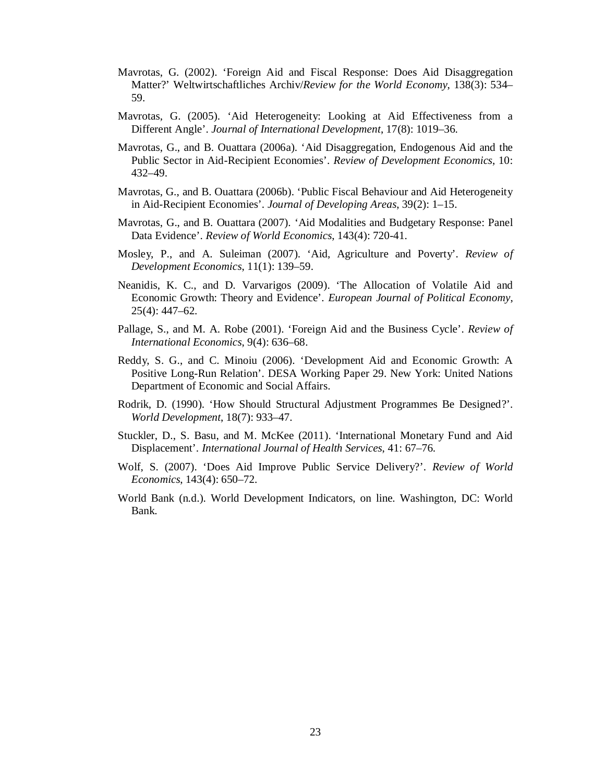- Mavrotas, G. (2002). 'Foreign Aid and Fiscal Response: Does Aid Disaggregation Matter?' Weltwirtschaftliches Archiv/*Review for the World Economy*, 138(3): 534– 59.
- Mavrotas, G. (2005). 'Aid Heterogeneity: Looking at Aid Effectiveness from a Different Angle'. *Journal of International Development*, 17(8): 1019–36.
- Mavrotas, G., and B. Ouattara (2006a). 'Aid Disaggregation, Endogenous Aid and the Public Sector in Aid-Recipient Economies'. *Review of Development Economics*, 10: 432–49.
- Mavrotas, G., and B. Ouattara (2006b). 'Public Fiscal Behaviour and Aid Heterogeneity in Aid-Recipient Economies'. *Journal of Developing Areas*, 39(2): 1–15.
- Mavrotas, G., and B. Ouattara (2007). 'Aid Modalities and Budgetary Response: Panel Data Evidence'. *Review of World Economics*, 143(4): 720-41.
- Mosley, P., and A. Suleiman (2007). 'Aid, Agriculture and Poverty'. *Review of Development Economics*, 11(1): 139–59.
- Neanidis, K. C., and D. Varvarigos (2009). 'The Allocation of Volatile Aid and Economic Growth: Theory and Evidence'. *European Journal of Political Economy*, 25(4): 447–62.
- Pallage, S., and M. A. Robe (2001). 'Foreign Aid and the Business Cycle'. *Review of International Economics*, 9(4): 636–68.
- Reddy, S. G., and C. Minoiu (2006). 'Development Aid and Economic Growth: A Positive Long-Run Relation'. DESA Working Paper 29. New York: United Nations Department of Economic and Social Affairs.
- Rodrik, D. (1990). 'How Should Structural Adjustment Programmes Be Designed?'. *World Development*, 18(7): 933–47.
- Stuckler, D., S. Basu, and M. McKee (2011). 'International Monetary Fund and Aid Displacement'. *International Journal of Health Services*, 41: 67–76.
- Wolf, S. (2007). 'Does Aid Improve Public Service Delivery?'. *Review of World Economics*, 143(4): 650–72.
- World Bank (n.d.). World Development Indicators, on line. Washington, DC: World Bank.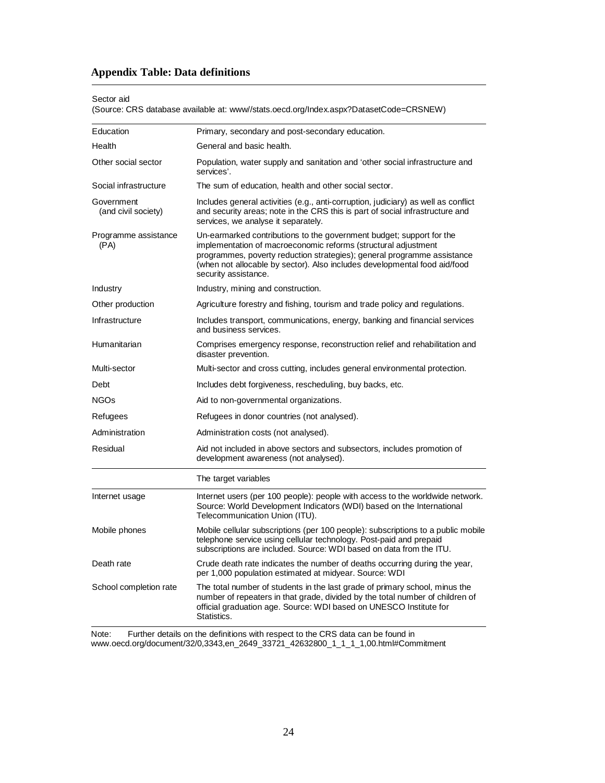# **Appendix Table: Data definitions**

#### Sector aid

(Source: CRS database available at: www//stats.oecd.org/Index.aspx?DatasetCode=CRSNEW)

| Education                         | Primary, secondary and post-secondary education.                                                                                                                                                                                                                                                                       |  |  |  |  |  |  |
|-----------------------------------|------------------------------------------------------------------------------------------------------------------------------------------------------------------------------------------------------------------------------------------------------------------------------------------------------------------------|--|--|--|--|--|--|
| Health                            | General and basic health.                                                                                                                                                                                                                                                                                              |  |  |  |  |  |  |
| Other social sector               | Population, water supply and sanitation and 'other social infrastructure and<br>services'.                                                                                                                                                                                                                             |  |  |  |  |  |  |
| Social infrastructure             | The sum of education, health and other social sector.                                                                                                                                                                                                                                                                  |  |  |  |  |  |  |
| Government<br>(and civil society) | Includes general activities (e.g., anti-corruption, judiciary) as well as conflict<br>and security areas; note in the CRS this is part of social infrastructure and<br>services, we analyse it separately.                                                                                                             |  |  |  |  |  |  |
| Programme assistance<br>(PA)      | Un-earmarked contributions to the government budget; support for the<br>implementation of macroeconomic reforms (structural adjustment<br>programmes, poverty reduction strategies); general programme assistance<br>(when not allocable by sector). Also includes developmental food aid/food<br>security assistance. |  |  |  |  |  |  |
| Industry                          | Industry, mining and construction.                                                                                                                                                                                                                                                                                     |  |  |  |  |  |  |
| Other production                  | Agriculture forestry and fishing, tourism and trade policy and regulations.                                                                                                                                                                                                                                            |  |  |  |  |  |  |
| Infrastructure                    | Includes transport, communications, energy, banking and financial services<br>and business services.                                                                                                                                                                                                                   |  |  |  |  |  |  |
| Humanitarian                      | Comprises emergency response, reconstruction relief and rehabilitation and<br>disaster prevention.                                                                                                                                                                                                                     |  |  |  |  |  |  |
| Multi-sector                      | Multi-sector and cross cutting, includes general environmental protection.                                                                                                                                                                                                                                             |  |  |  |  |  |  |
| Debt                              | Includes debt forgiveness, rescheduling, buy backs, etc.                                                                                                                                                                                                                                                               |  |  |  |  |  |  |
| <b>NGOs</b>                       | Aid to non-governmental organizations.                                                                                                                                                                                                                                                                                 |  |  |  |  |  |  |
| Refugees                          | Refugees in donor countries (not analysed).                                                                                                                                                                                                                                                                            |  |  |  |  |  |  |
| Administration                    | Administration costs (not analysed).                                                                                                                                                                                                                                                                                   |  |  |  |  |  |  |
| Residual                          | Aid not included in above sectors and subsectors, includes promotion of<br>development awareness (not analysed).                                                                                                                                                                                                       |  |  |  |  |  |  |
|                                   | The target variables                                                                                                                                                                                                                                                                                                   |  |  |  |  |  |  |
| Internet usage                    | Internet users (per 100 people): people with access to the worldwide network.<br>Source: World Development Indicators (WDI) based on the International<br>Telecommunication Union (ITU).                                                                                                                               |  |  |  |  |  |  |
| Mobile phones                     | Mobile cellular subscriptions (per 100 people): subscriptions to a public mobile<br>telephone service using cellular technology. Post-paid and prepaid<br>subscriptions are included. Source: WDI based on data from the ITU.                                                                                          |  |  |  |  |  |  |
| Death rate                        | Crude death rate indicates the number of deaths occurring during the year,<br>per 1,000 population estimated at midyear. Source: WDI                                                                                                                                                                                   |  |  |  |  |  |  |
| School completion rate            | The total number of students in the last grade of primary school, minus the<br>number of repeaters in that grade, divided by the total number of children of<br>official graduation age. Source: WDI based on UNESCO Institute for<br>Statistics.                                                                      |  |  |  |  |  |  |

Note: Further details on the definitions with respect to the CRS data can be found in www.oecd.org/document/32/0,3343,en\_2649\_33721\_42632800\_1\_1\_1\_1,00.html#Commitment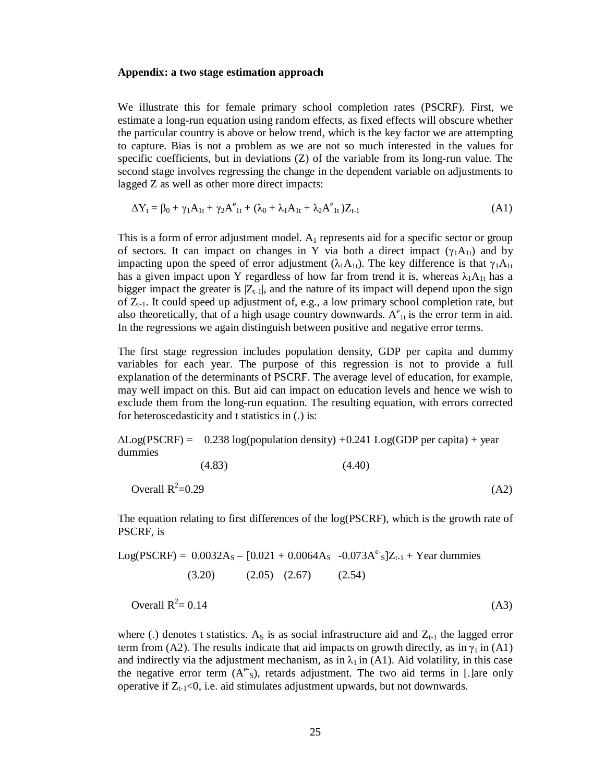#### **Appendix: a two stage estimation approach**

We illustrate this for female primary school completion rates (PSCRF). First, we estimate a long-run equation using random effects, as fixed effects will obscure whether the particular country is above or below trend, which is the key factor we are attempting to capture. Bias is not a problem as we are not so much interested in the values for specific coefficients, but in deviations (Z) of the variable from its long-run value. The second stage involves regressing the change in the dependent variable on adjustments to lagged Z as well as other more direct impacts:

$$
\Delta Y_t = \beta_0 + \gamma_1 A_{1t} + \gamma_2 A_{1t}^e + (\lambda_0 + \lambda_1 A_{1t} + \lambda_2 A_{1t}^e) Z_{t-1}
$$
\n(A1)

This is a form of error adjustment model.  $A_1$  represents aid for a specific sector or group of sectors. It can impact on changes in Y via both a direct impact  $(\gamma_1 A_{1t})$  and by impacting upon the speed of error adjustment ( $\lambda_1 A_{1t}$ ). The key difference is that  $\gamma_1 A_{1t}$ has a given impact upon Y regardless of how far from trend it is, whereas  $\lambda_1A_{1t}$  has a bigger impact the greater is  $|Z_{t-1}|$ , and the nature of its impact will depend upon the sign of  $Z_{t-1}$ . It could speed up adjustment of, e.g., a low primary school completion rate, but also theoretically, that of a high usage country downwards.  $A_{1t}^e$  is the error term in aid. In the regressions we again distinguish between positive and negative error terms.

The first stage regression includes population density, GDP per capita and dummy variables for each year. The purpose of this regression is not to provide a full explanation of the determinants of PSCRF. The average level of education, for example, may well impact on this. But aid can impact on education levels and hence we wish to exclude them from the long-run equation. The resulting equation, with errors corrected for heteroscedasticity and t statistics in (.) is:

 $\Delta$ Log(PSCRF) = 0.238 log(population density) +0.241 Log(GDP per capita) + year dummies

(4.83) 
$$
(4.40)
$$
  
Overall R<sup>2</sup>=0.29 (A2)

The equation relating to first differences of the log(PSCRF), which is the growth rate of PSCRF, is

Log(PSCRF) = 
$$
0.0032A_s - [0.021 + 0.0064A_s - 0.073A^e]Z_{t-1} + \text{Year dummies}
$$
  
(3.20) (2.05) (2.67) (2.54)

Overall  $R^2 = 0.14$  $= 0.14$  (A3)

where (.) denotes t statistics. As is as social infrastructure aid and  $Z_{t-1}$  the lagged error term from (A2). The results indicate that aid impacts on growth directly, as in  $\gamma_1$  in (A1) and indirectly via the adjustment mechanism, as in  $\lambda_1$  in (A1). Aid volatility, in this case the negative error term  $(A^e)$ , retards adjustment. The two aid terms in [.] are only operative if  $Z_{t-1}$ <0, i.e. aid stimulates adjustment upwards, but not downwards.